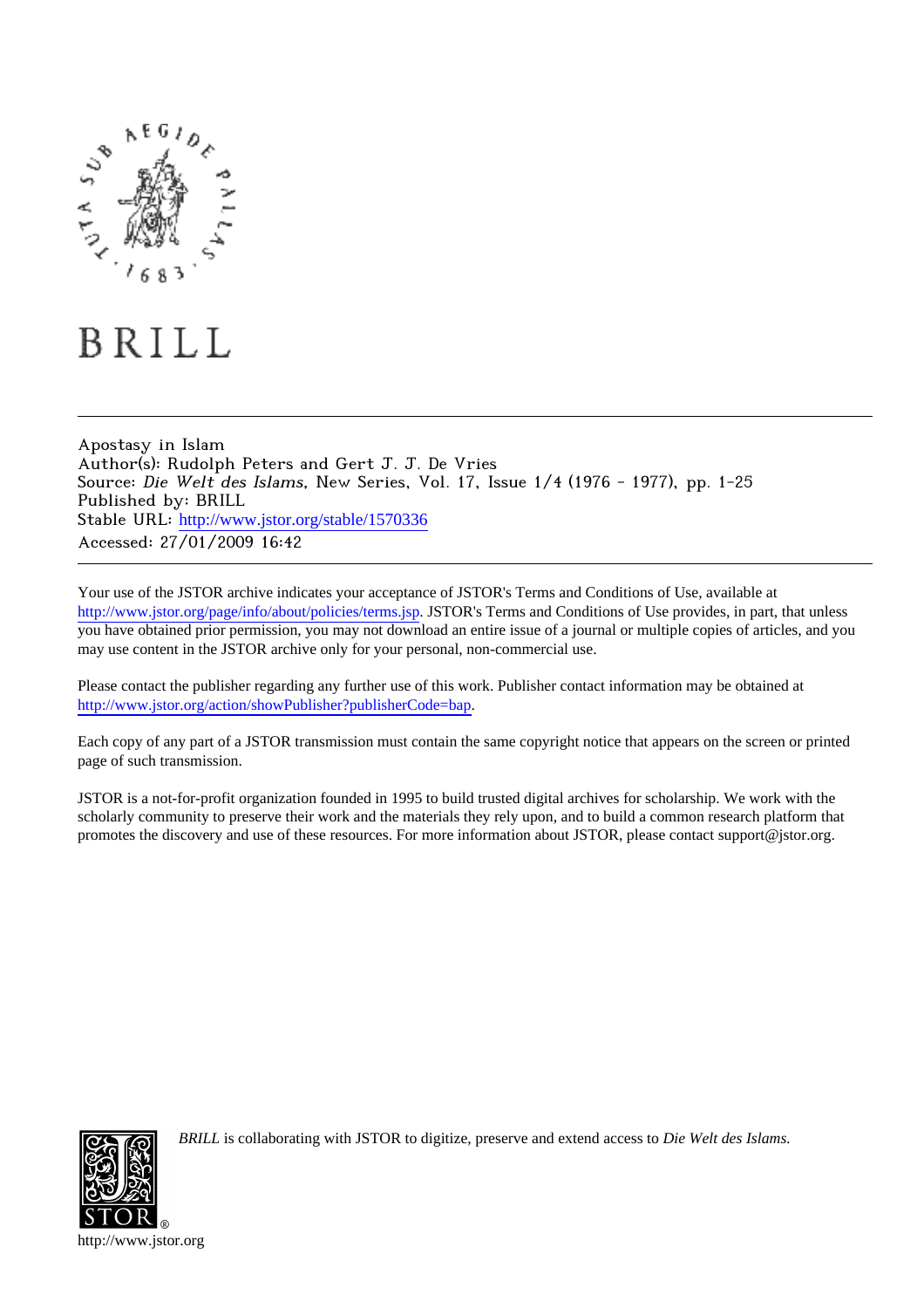

# BRILL

Apostasy in Islam Author(s): Rudolph Peters and Gert J. J. De Vries Source: Die Welt des Islams, New Series, Vol. 17, Issue 1/4 (1976 - 1977), pp. 1-25 Published by: BRILL Stable URL: [http://www.jstor.org/stable/1570336](http://www.jstor.org/stable/1570336?origin=JSTOR-pdf) Accessed: 27/01/2009 16:42

Your use of the JSTOR archive indicates your acceptance of JSTOR's Terms and Conditions of Use, available at <http://www.jstor.org/page/info/about/policies/terms.jsp>. JSTOR's Terms and Conditions of Use provides, in part, that unless you have obtained prior permission, you may not download an entire issue of a journal or multiple copies of articles, and you may use content in the JSTOR archive only for your personal, non-commercial use.

Please contact the publisher regarding any further use of this work. Publisher contact information may be obtained at <http://www.jstor.org/action/showPublisher?publisherCode=bap>.

Each copy of any part of a JSTOR transmission must contain the same copyright notice that appears on the screen or printed page of such transmission.

JSTOR is a not-for-profit organization founded in 1995 to build trusted digital archives for scholarship. We work with the scholarly community to preserve their work and the materials they rely upon, and to build a common research platform that promotes the discovery and use of these resources. For more information about JSTOR, please contact support@jstor.org.



*BRILL* is collaborating with JSTOR to digitize, preserve and extend access to *Die Welt des Islams.*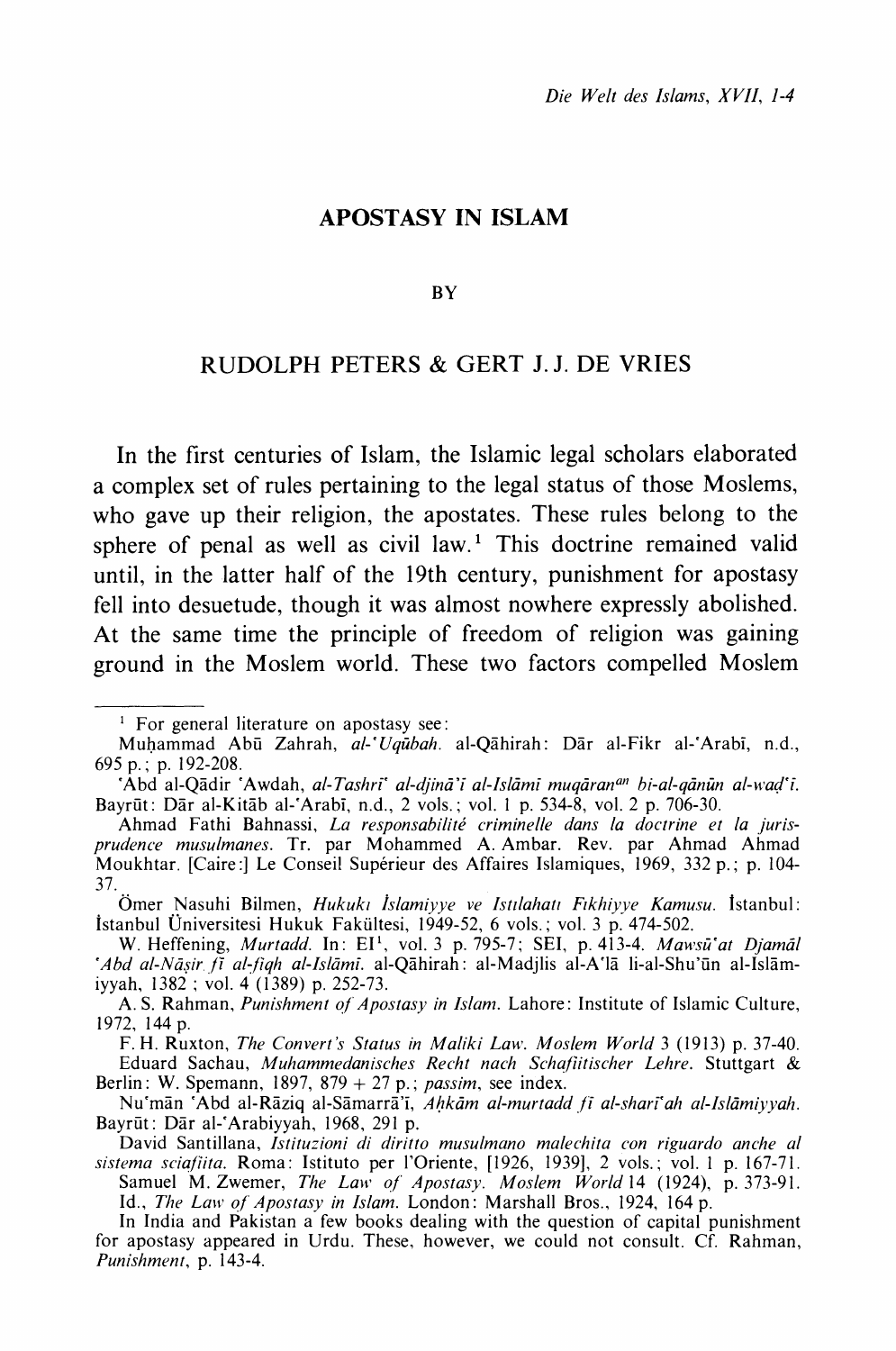## **APOSTASY IN ISLAM**

**BY** 

### **RUDOLPH PETERS & GERT J. J. DE VRIES**

**In the first centuries of Islam, the Islamic legal scholars elaborated a complex set of rules pertaining to the legal status of those Moslems, who gave up their religion, the apostates. These rules belong to the sphere of penal as well as civil law.' This doctrine remained valid until, in the latter half of the 19th century, punishment for apostasy fell into desuetude, though it was almost nowhere expressly abolished. At the same time the principle of freedom of religion was gaining ground in the Moslem world. These two factors compelled Moslem** 

**Omer Nasuhi Bilmen, Hukuki Islamiyye ve Isttlahatl Fikhiyye Kamusu. Istanbul: Istanbul Universitesi Hukuk Fakiiltesi, 1949-52, 6 vols.; vol. 3 p. 474-502.** 

**F. H. Ruxton, The Convert's Status in Maliki Law. Moslem World 3 (1913) p. 37-40. Eduard Sachau, Muhammedanisches Recht nach Schafiitischer Lehre. Stuttgart & Berlin: W. Spemann, 1897, 879 + 27 p.; passim, see index.** 

Id., *The Law of Apostasy in Islam.* London: Marshall Bros., 1924, 164 p.

**<sup>&#</sup>x27;For general literature on apostasy see:** 

**Muhammad Abu Zahrah, al-'Uqubah. al-Qahirah: Dar al-Fikr al-'Arabi, n.d., 695 p.; p. 192-208.** 

<sup>&#</sup>x27;Abd al-Qādir 'Awdah, al-Tashrī' al-djinā'ī al-Islāmī muqāran<sup>an</sup> bi-al-qānūn al-wad'ī. **Bayrut: Dar al-Kitab al-'Arabi, n.d., 2 vols.; vol. 1 p. 534-8, vol. 2 p. 706-30.** 

**Ahmad Fathi Bahnassi, La responsabilite criminelle dans la doctrine et la jurisprudence musulmanes. Tr. par Mohammed A. Ambar. Rev. par Ahmad Ahmad Moukhtar. [Caire:] Le Conseil Superieur des Affaires Islamiques, 1969, 332 p.; p. 104- 37.** 

W. Heffening, Murtadd. In: EI<sup>1</sup>, vol. 3 p. 795-7; SEI, p. 413-4. Mawsu'at Djamal **'Abd al-Nasir fi al-fiqh al-Isldmi. al-Qahirah: al-Madjlis al-A'la li-al-Shu'iin al-Islamiyyah, 1382 ; vol. 4 (1389) p. 252-73.** 

**A. S. Rahman, Punishment of Apostasy in Islam. Lahore: Institute of Islamic Culture, 1972, 144 p.** 

**Nu'man 'Abd al-Raziq al-Samarra'i, Ahkdm al-murtadd fi al-shari'ah al-Islamiyyah. Bayrut: Dar al-'Arabiyyah, 1968, 291 p.** 

**David Santillana, Istituzioni di diritto musulmano malechita con riguardo anche al sistema sciafiita. Roma: Istituto per l'Oriente, [1926, 1939], 2 vols.; vol. 1 p. 167-71. Samuel M. Zwemer, The Law of Apostasy. Moslem World 14 (1924), p. 373-91.** 

**In India and Pakistan a few books dealing with the question of capital punishment for apostasy appeared in Urdu. These, however, we could not consult. Cf. Rahman, Punishment, p. 143-4.**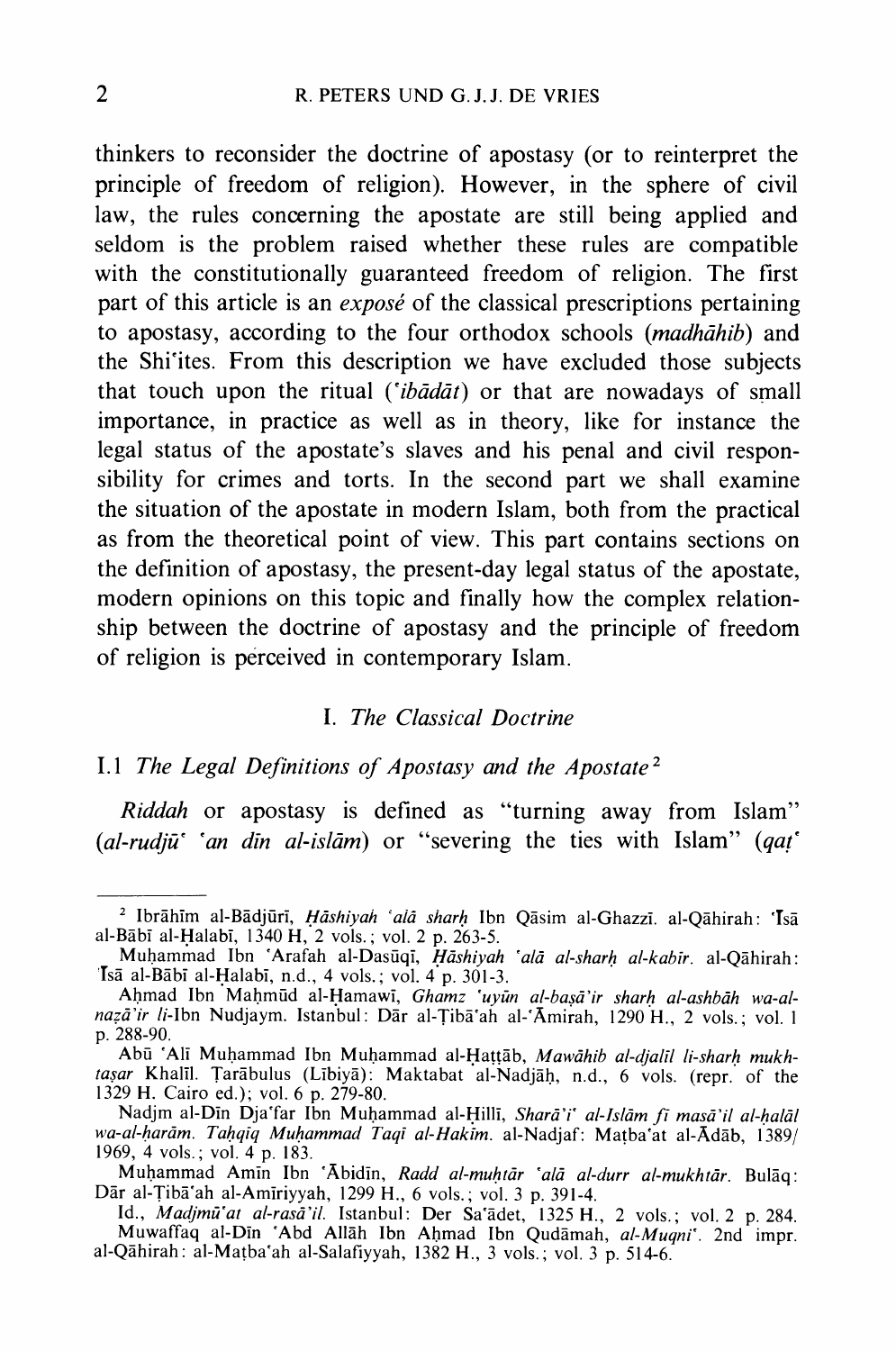**thinkers to reconsider the doctrine of apostasy (or to reinterpret the principle of freedom of religion). However, in the sphere of civil law, the rules concerning the apostate are still being applied and seldom is the problem raised whether these rules are compatible with the constitutionally guaranteed freedom of religion. The first part of this article is an expose of the classical prescriptions pertaining**  to apostasy, according to the four orthodox schools (*madhāhib*) and **the Shi'ites. From this description we have excluded those subjects**  that touch upon the ritual (*'ibadat*) or that are nowadays of small **importance, in practice as well as in theory, like for instance the legal status of the apostate's slaves and his penal and civil responsibility for crimes and torts. In the second part we shall examine the situation of the apostate in modern Islam, both from the practical as from the theoretical point of view. This part contains sections on the definition of apostasy, the present-day legal status of the apostate, modern opinions on this topic and finally how the complex relationship between the doctrine of apostasy and the principle of freedom of religion is perceived in contemporary Islam.** 

#### **I. The Classical Doctrine**

## **I.1 The Legal Definitions of Apostasy and the Apostate2**

**Riddah or apostasy is defined as "turning away from Islam"**  (al-rudjū<sup>*c*</sup> an din al-islam) or "severing the ties with Islam" (qat<sup>c</sup>)

**<sup>2</sup>Ibrahim al-Badjuri, Hashiyah 'aid sharh Ibn Qasim al-Ghazzi. al-Qahirah: 'Tsa al-Babi al-Halabi, 1340 H, 2 vols.; vol. 2 p. 263-5.** 

**Muhammad Ibn 'Arafah al-Dasuqi, Hdshiyah 'ald al-sharh al-kabir. al-Qahirah: Isa al-Babi al-Halabi, n.d., 4 vols.; vol. 4 p. 301-3.** 

Ahmad Ibn Mahmūd al-Hamawi, Ghamz 'uyun al-başa'ir sharh al-ashbah wa-al**nazd'ir li-Ibn Nudjaym. Istanbul: Dar al-Tiba'ah al-'Amirah, 1290 H., 2 vols.; vol. 1 p. 288-90.** 

Abū 'Alī Muhammad Ibn Muhammad al-Hattāb, Mawāhib al-djalil li-sharh mukh**tasar Khalil. Tarabulus (Libiya): Maktabat al-Nadjah, n.d., 6 vols. (repr. of the 1329 H. Cairo ed.); vol. 6 p. 279-80.** 

Nadjm al-Din Dja'far Ibn Muhammad al-Hilli, Sharā'i' al-Islām fi masā'il al-halāl **wa-al-hardm. Tahqiq Muhammad Taqi al-Hakim. al-Nadjaf: Matba'at al-Adab, 1389/ 1969, 4 vols.; vol. 4 p. 183.** 

Muhammad Amin Ibn 'Ābidin, Radd al-muhtār 'alā al-durr al-mukhtār. Bulāq: **Dar al-Tiba'ah al-Amiriyyah, 1299 H., 6 vols.; vol. 3 p. 391-4.** 

**Id., Madjmu'at al-rasd'il. Istanbul: Der Sa'adet, 1325 H., 2 vols.; vol. 2 p. 284. Muwaffaq al-Din 'Abd Allah Ibn Ahmad Ibn Qudamah, al-Muqni'. 2nd impr. al-Qahirah: al-Matba'ah al-Salafiyyah, 1382 H., 3 vols.; vol. 3 p. 514-6.**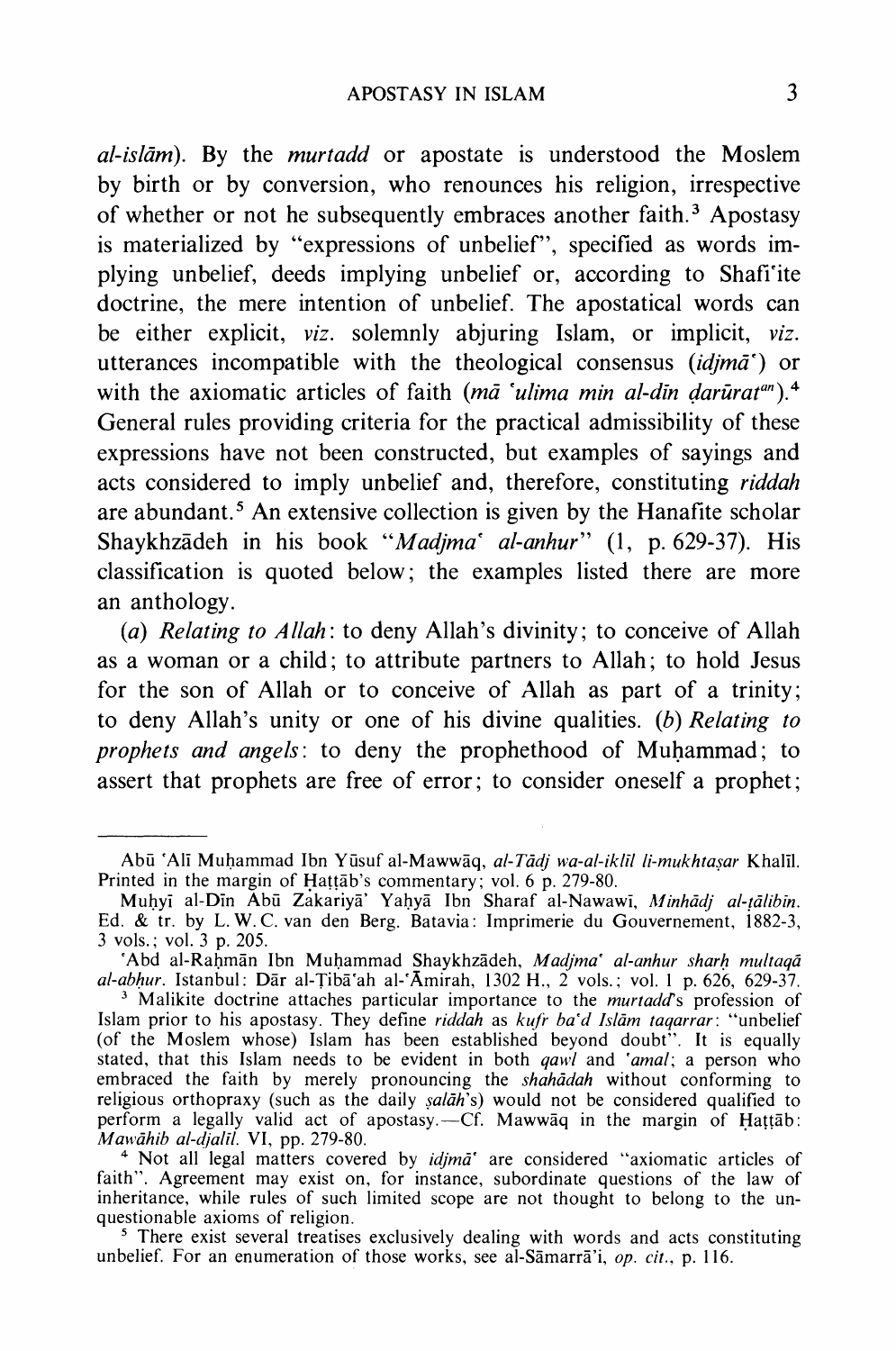al-islām). By the *murtadd* or apostate is understood the Moslem **by birth or by conversion, who renounces his religion, irrespective of whether or not he subsequently embraces another faith.3 Apostasy is materialized by "expressions of unbelief", specified as words implying unbelief, deeds implying unbelief or, according to Shafi'ite doctrine, the mere intention of unbelief. The apostatical words can be either explicit, viz. solemnly abjuring Islam, or implicit, viz. utterances incompatible with the theological consensus (idjma') or**  with the axiomatic articles of faith (ma 'ulima min al-din darūrat<sup>an</sup>).<sup>4</sup> **General rules providing criteria for the practical admissibility of these expressions have not been constructed, but examples of sayings and acts considered to imply unbelief and, therefore, constituting riddah are abundant.5 An extensive collection is given by the Hanafite scholar Shaykhzadeh in his book "Madjma' al-anhur" (1, p. 629-37). His classification is quoted below; the examples listed there are more an anthology.** 

**(a) Relating to Allah: to deny Allah's divinity; to conceive of Allah as a woman or a child; to attribute partners to Allah; to hold Jesus for the son of Allah or to conceive of Allah as part of a trinity; to deny Allah's unity or one of his divine qualities. (b) Relating to prophets and angels: to deny the prophethood of Muhammad; to assert that prophets are free of error; to consider oneself a prophet;** 

**<sup>5</sup>There exist several treatises exclusively dealing with words and acts constituting unbelief. For an enumeration of those works, see al-Samarra'i, op. cit., p. 116.** 

Abū 'Alī Muhammad Ibn Yūsuf al-Mawwāq, al-Tādj wa-al-iklīl li-mukhtasar Khalīl. **Printed in the margin of Hattab's commentary; vol. 6 p. 279-80.** 

**Muhyi al-Din Abi Zakariya' Yahya Ibn Sharaf al-Nawawi, Minhadj al-tdlibin. Ed. & tr. by L. W. C. van den Berg. Batavia: Imprimerie du Gouvernement, 1882-3, 3 vols.; vol. 3 p. 205.** 

**<sup>&#</sup>x27;Abd al-Rahman Ibn Muhammad Shaykhzadeh, Madjma' al-anhur sharh multaqd al-abhur. Istanbul: Dar al-Tiba'ah al-'Amirah, 1302 H., 2 vols.; vol. 1 p. 626, 629-37.** 

<sup>&</sup>lt;sup>3</sup> Malikite doctrine attaches particular importance to the *murtadd*'s profession of **Islam prior to his apostasy. They define riddah as kufr ba'd Islam taqarrar: "unbelief (of the Moslem whose) Islam has been established beyond doubt". It is equally stated, that this Islam needs to be evident in both qawl and 'amal; a person who embraced the faith by merely pronouncing the shahddah without conforming to religious orthopraxy (such as the daily saldh's) would not be considered qualified to perform a legally valid act of apostasy.-Cf. Mawwaq in the margin of Hattab: Mawdhib al-djalil. VI, pp. 279-80.** 

<sup>&</sup>lt;sup>4</sup> Not all legal matters covered by *idjma*<sup>\*</sup> are considered "axiomatic articles of **faith". Agreement may exist on, for instance, subordinate questions of the law of inheritance, while rules of such limited scope are not thought to belong to the unquestionable axioms of religion.**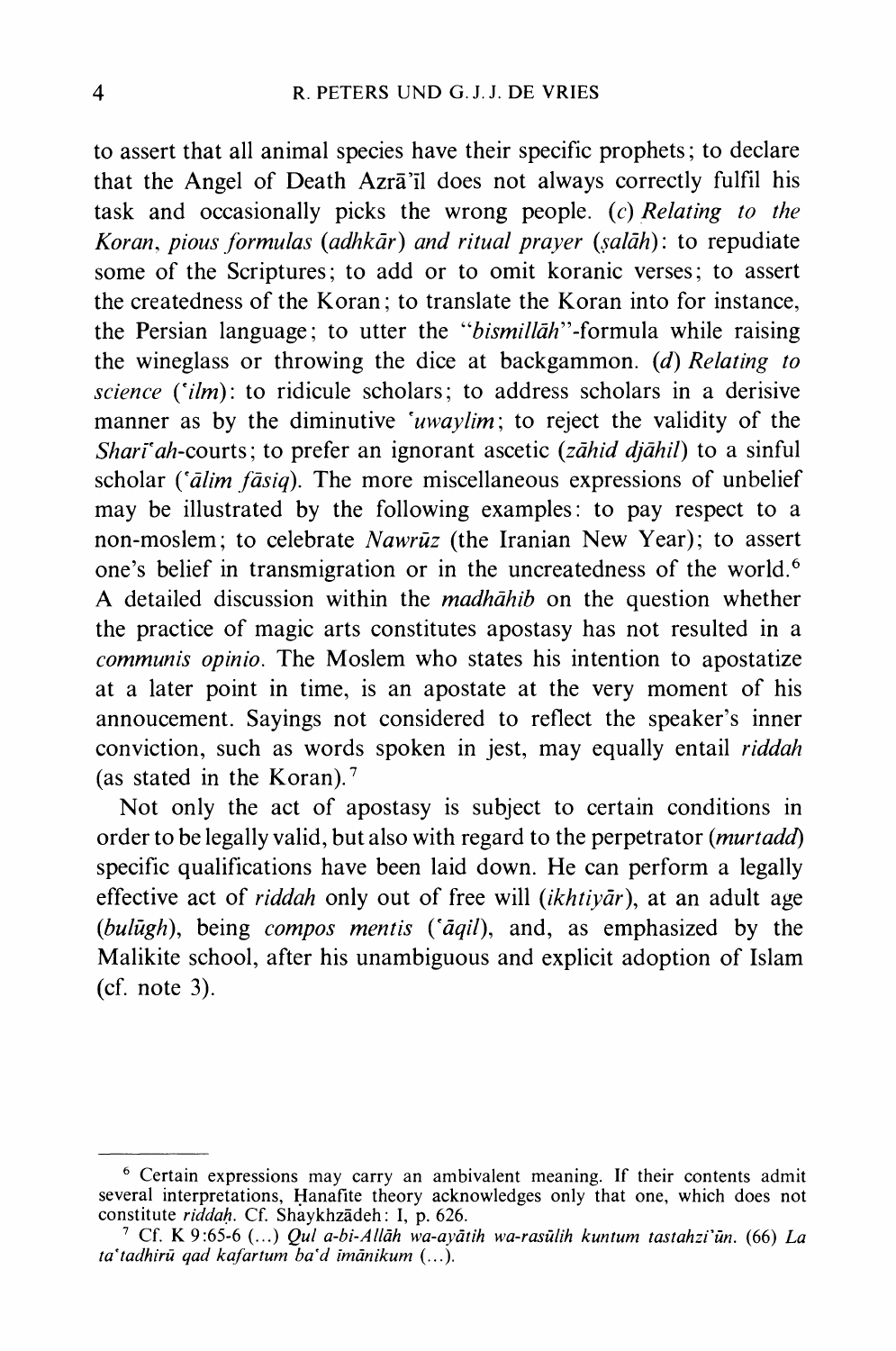**to assert that all animal species have their specific prophets; to declare that the Angel of Death Azra'il does not always correctly fulfil his**  task and occasionally picks the wrong people. (c) Relating to the **Koran, pious formulas (adhkdr) and ritual prayer (salah): to repudiate some of the Scriptures; to add or to omit koranic verses; to assert the createdness of the Koran; to translate the Koran into for instance, the Persian language; to utter the "bismillah"-formula while raising the wineglass or throwing the dice at backgammon. (d) Relating to science ('ilm): to ridicule scholars; to address scholars in a derisive manner as by the diminutive 'uwaylim; to reject the validity of the**  Shari'ah-courts; to prefer an ignorant ascetic (zāhid djāhil) to a sinful **scholar ('alim fisiq). The more miscellaneous expressions of unbelief may be illustrated by the following examples: to pay respect to a**  non-moslem; to celebrate *Nawrūz* (the Iranian New Year); to assert **one's belief in transmigration or in the uncreatedness of the world.6**  A detailed discussion within the *madhahib* on the question whether **the practice of magic arts constitutes apostasy has not resulted in a communis opinio. The Moslem who states his intention to apostatize at a later point in time, is an apostate at the very moment of his annoucement. Sayings not considered to reflect the speaker's inner conviction, such as words spoken in jest, may equally entail riddah (as stated in the Koran).7** 

**Not only the act of apostasy is subject to certain conditions in order to be legally valid, but also with regard to the perpetrator (murtadd) specific qualifications have been laid down. He can perform a legally**  effective act of *riddah* only out of free will *(ikhtivar)*, at an adult age (bulügh), being compos mentis ('āqil), and, as emphasized by the **Malikite school, after his unambiguous and explicit adoption of Islam (cf. note 3).** 

**<sup>6</sup>Certain expressions may carry an ambivalent meaning. If their contents admit several interpretations, Hanafite theory acknowledges only that one, which does not constitute riddah. Cf. Shaykhzadeh: I, p. 626.** 

**<sup>7</sup> Cf. K 9:65-6 (...) Qul a-bi-Allah wa-aydtih wa-rasulih kuntum tastahzi'un. (66) La ta'tadhiriu qad kafartum ba'd imdnikum (...).**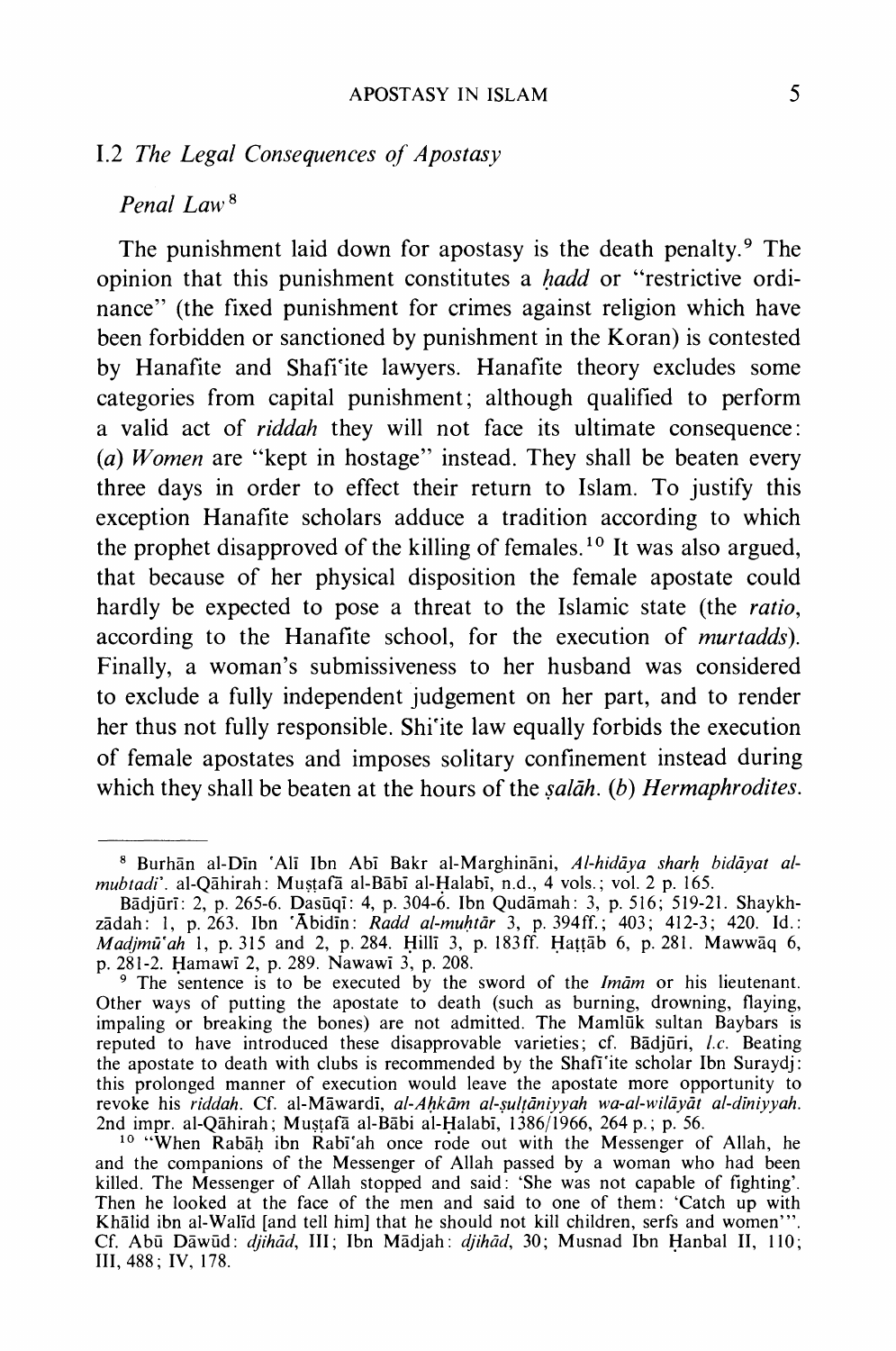## **1.2 The Legal Consequences of Apostasy**

## **Penal Law 8**

**The punishment laid down for apostasy is the death penalty.9 The opinion that this punishment constitutes a hadd or "restrictive ordinance" (the fixed punishment for crimes against religion which have been forbidden or sanctioned by punishment in the Koran) is contested by Hanafite and Shafi'ite lawyers. Hanafite theory excludes some categories from capital punishment; although qualified to perform a valid act of riddah they will not face its ultimate consequence: (a) Women are "kept in hostage" instead. They shall be beaten every three days in order to effect their return to Islam. To justify this exception Hanafite scholars adduce a tradition according to which the prophet disapproved of the killing of females.10 It was also argued, that because of her physical disposition the female apostate could hardly be expected to pose a threat to the Islamic state (the ratio, according to the Hanafite school, for the execution of murtadds). Finally, a woman's submissiveness to her husband was considered to exclude a fully independent judgement on her part, and to render her thus not fully responsible. Shi'ite law equally forbids the execution of female apostates and imposes solitary confinement instead during**  which they shall be beaten at the hours of the *salah*. (b) *Hermaphrodites*.

<sup>&</sup>lt;sup>8</sup> Burhān al-Dīn 'Alī Ibn Abī Bakr al-Marghināni, Al-hidāya sharh bidāyat al**mubtadi'. al-Qahirah: Mustafa al-Babi al-Halabi, n.d., 4 vols.; vol. 2 p. 165.** 

**Badjuri: 2, p. 265-6. Dasuqi: 4, p. 304-6. Ibn Qudamah: 3, p. 516; 519-21. Shaykhzadah: 1, p. 263. Ibn 'Abidin: Radd al-muhtdr 3, p. 394ff.; 403; 412-3; 420. Id.: Madjmui'ah 1, p. 315 and 2, p. 284. Hilli 3, p. 183ff. Hattab 6, p. 281. Mawwaq 6, p. 281-2. Hamawi 2, p. 289. Nawawi 3, p. 208.** 

**<sup>9</sup> The sentence is to be executed by the sword of the Imam or his lieutenant. Other ways of putting the apostate to death (such as burning, drowning, flaying,**  impaling or breaking the bones) are not admitted. The Mamluik sultan Baybars is **reputed to have introduced these disapprovable varieties; cf. Badjiiri, I.c. Beating the apostate to death with clubs is recommended by the Shafi'ite scholar Ibn Suraydj: this prolonged manner of execution would leave the apostate more opportunity to**  revoke his riddah. Cf. al-Māwardī, al-Ahkām al-sultāniyyah wa-al-wilāyāt al-diniyyah. **2nd impr. al-Qahirah; Mustafa al-Babi al-Halabi, 1386/1966, 264 p.; p. 56.** 

<sup>&</sup>lt;sup>10</sup> "When Rabah ibn Rabi'ah once rode out with the Messenger of Allah, he **and the companions of the Messenger of Allah passed by a woman who had been killed. The Messenger of Allah stopped and said: 'She was not capable of fighting'.**  Then he looked at the face of the men and said to one of them: 'Catch up with **Khalid ibn al-Walid [and tell him] that he should not kill children, serfs and women'".**  Cf. Abū Dāwūd: djihād, III; Ibn Mādjah: djihād, 30; Musnad Ibn Hanbal II, 110; **III, 488; IV, 178.**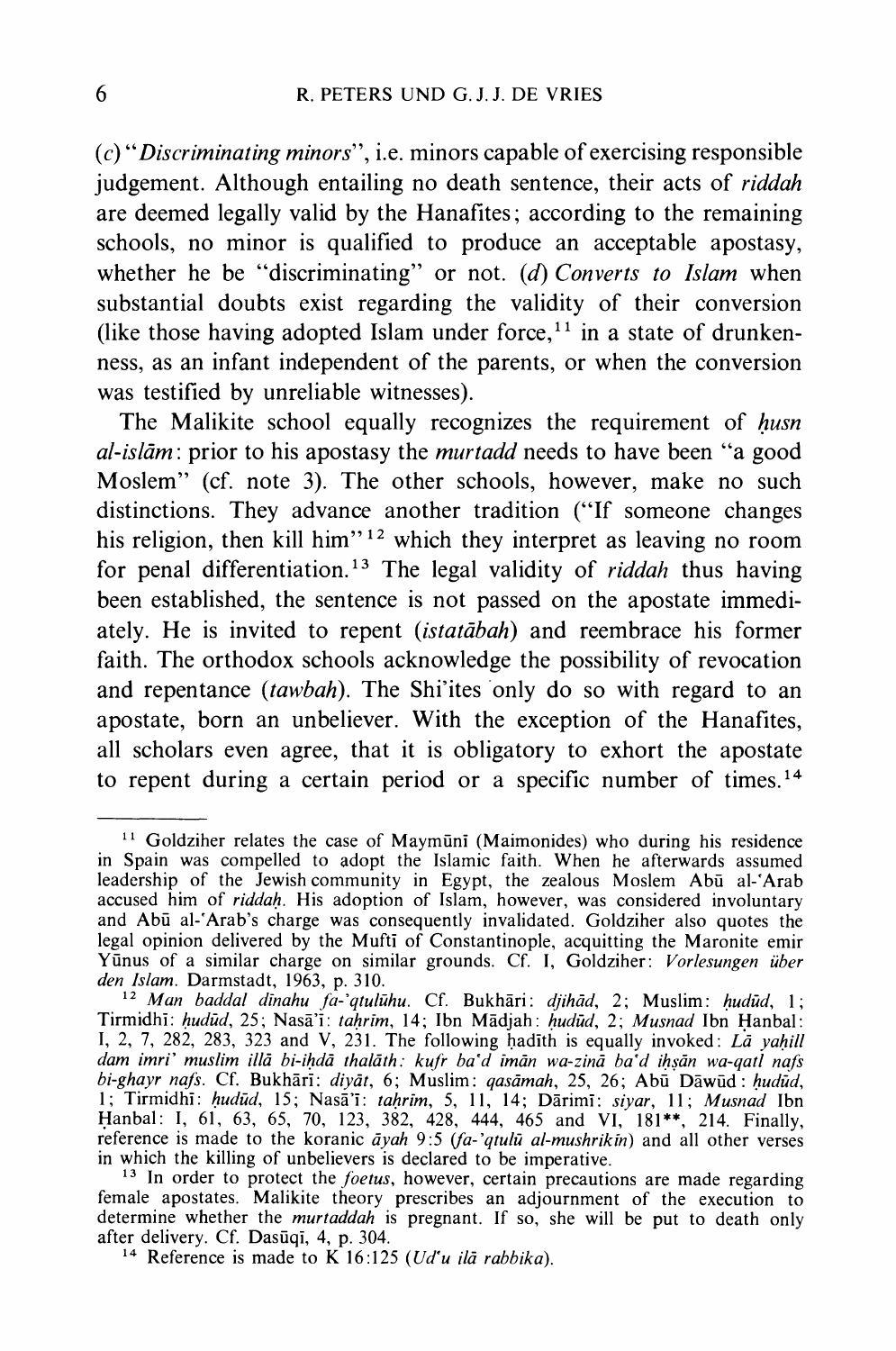**(c) "Discriminating minors", i.e. minors capable of exercising responsible judgement. Although entailing no death sentence, their acts of riddah are deemed legally valid by the Hanafites; according to the remaining schools, no minor is qualified to produce an acceptable apostasy, whether he be "discriminating" or not. (d) Converts to Islam when substantial doubts exist regarding the validity of their conversion**  (like those having adopted Islam under force,<sup>11</sup> in a state of drunken**ness, as an infant independent of the parents, or when the conversion was testified by unreliable witnesses).** 

**The Malikite school equally recognizes the requirement of husn al-isklm: prior to his apostasy the murtadd needs to have been "a good Moslem" (cf. note 3). The other schools, however, make no such distinctions. They advance another tradition ("If someone changes his religion, then kill him" 12 which they interpret as leaving no room for penal differentiation.13 The legal validity of riddah thus having been established, the sentence is not passed on the apostate immedi**ately. He is invited to repent *(istatābah)* and reembrace his former **faith. The orthodox schools acknowledge the possibility of revocation and repentance (tawbah). The Shi'ites only do so with regard to an apostate, born an unbeliever. With the exception of the Hanafites, all scholars even agree, that it is obligatory to exhort the apostate to repent during a certain period or a specific number of times.14** 

<sup>&</sup>lt;sup>11</sup> Goldziher relates the case of Maymūnī (Maimonides) who during his residence **in Spain was compelled to adopt the Islamic faith. When he afterwards assumed leadership of the Jewish community in Egypt, the zealous Moslem Abii al-'Arab accused him of riddah. His adoption of Islam, however, was considered involuntary and Abu al-'Arab's charge was consequently invalidated. Goldziher also quotes the legal opinion delivered by the Mufti of Constantinople, acquitting the Maronite emir Yinus of a similar charge on similar grounds. Cf. I, Goldziher: Vorlesungen uber den Islam. Darmstadt, 1963, p. 310.** 

**<sup>12</sup>Man baddal dinahu fa-'qtulfihu. Cf. Bukhari: djihdd, 2; Muslim: hudud, 1; Tirmidhi: hudfid, 25; Nasa'i: tahrim, 14; Ibn Madjah: hudud, 2; Musnad Ibn Hanbal: I, 2, 7, 282, 283, 323 and V, 231. The following hadith is equally invoked: La yahill**  dam imri' muslim illā bi-iḥdā thalāth. kufr ba'd imān wa-zinā ba'd iḥşān wa-qatl nafs **bi-ghayr najs. Cf. Bukhari: diydt, 6; Muslim: qasamah, 25, 26; Abu Dawud: huduid, 1; Tirmidhi: hudfid, 15; Nasa'i: tahrim, 5, 11, 14; Darimi: siyar, 11; Musnad Ibn Hanbal: I, 61, 63, 65, 70, 123, 382, 428, 444, 465 and VI, 181\*\*, 214. Finally, reference is made to the koranic dyah 9:5 (fa-'qtuli al-mushrikin) and all other verses**  in which the killing of unbelievers is declared to be imperative.<br><sup>13</sup> In order to protect the *foetus*, however, certain precautions are made regarding

<sup>&</sup>lt;sup>13</sup> In order to protect the *foetus*, however, certain precautions are made regarding female apostates. Malikite theory prescribes an adjournment of the execution to determine whether the *murtaddah* is pregnant. If so, she will be put to death only after delivery. Cf. Dasuqi, 4, p. 304. **<sup>14</sup>Reference is made to K 16:125 (Ud'u ild rabbika).**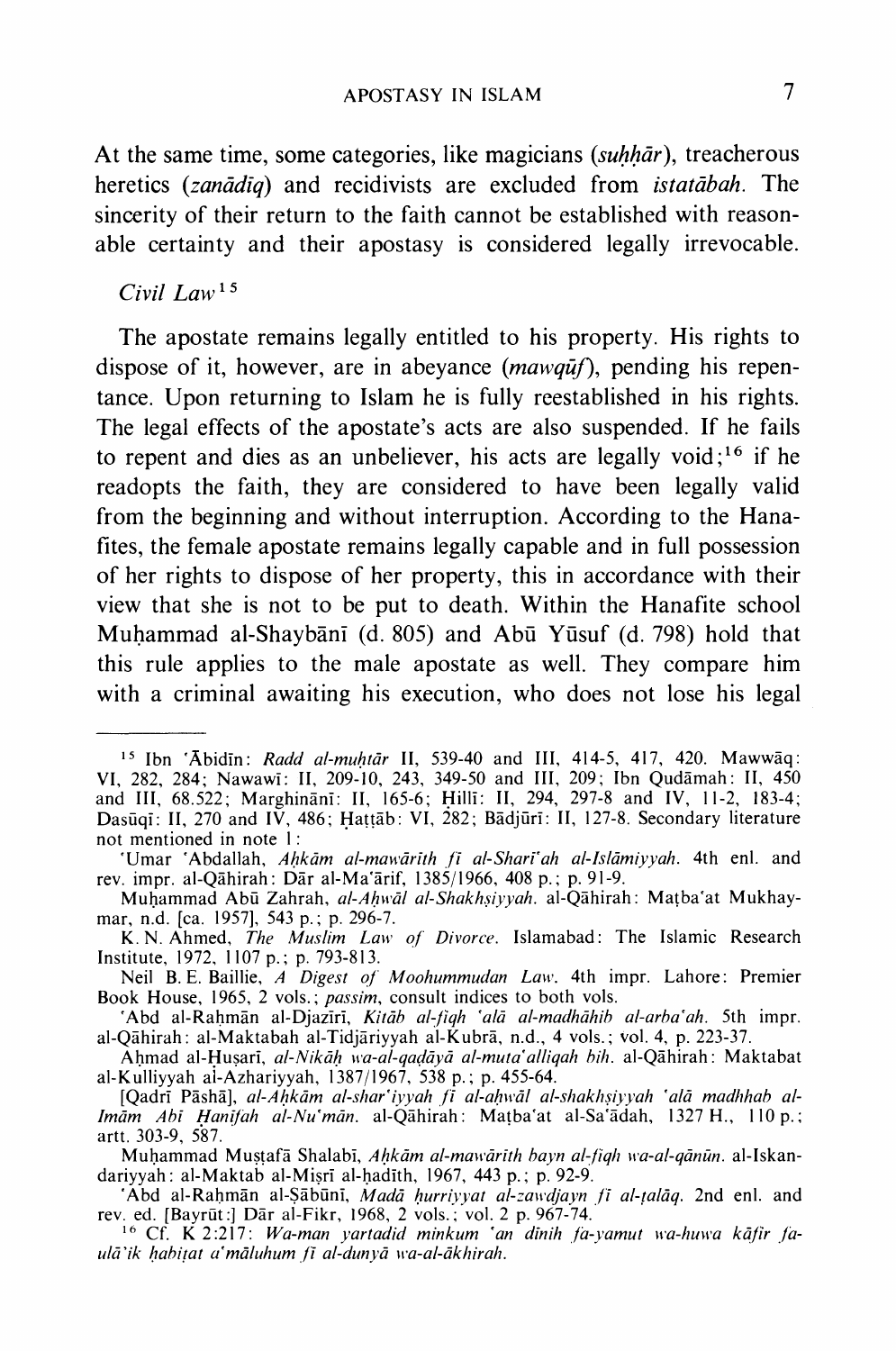**At the same time, some categories, like magicians (suhhar), treacherous**  heretics (zanādīq) and recidivists are excluded from *istatābah*. The **sincerity of their return to the faith cannot be established with reasonable certainty and their apostasy is considered legally irrevocable.** 

 $Civil Law<sup>15</sup>$ 

**The apostate remains legally entitled to his property. His rights to**  dispose of it, however, are in abeyance *(mawqut)*, pending his repen**tance. Upon returning to Islam he is fully reestablished in his rights. The legal effects of the apostate's acts are also suspended. If he fails to repent and dies as an unbeliever, his acts are legally void;16 if he readopts the faith, they are considered to have been legally valid from the beginning and without interruption. According to the Hanafites, the female apostate remains legally capable and in full possession of her rights to dispose of her property, this in accordance with their view that she is not to be put to death. Within the Hanafite school Muhammad al-Shaybani (d. 805) and Abu Yusuf (d. 798) hold that this rule applies to the male apostate as well. They compare him with a criminal awaiting his execution, who does not lose his legal** 

'Abd al-Rahmān al-Djazīrī, Kitāb al-fiqh 'alā al-madhāhib al-arba'ah. 5th impr. **al-Qahirah: al-Maktabah al-Tidjariyyah al-Kubra, n.d., 4 vols.; vol. 4, p. 223-37.** 

**Ahmad al-Husari, al-Nikdh wva-al-qaddyd al-muta'alliqah hih. al-Qahirah: Maktabat al-Kulliyyah ai-Azhariyyah, 1387/1967, 538 p.; p. 455-64.** 

Muhammad Mustafā Shalabī, Ahkām al-mawārith bayn al-fiqh wa-al-qānūn. al-Iskan**dariyyah: al-Maktab al-Misri al-hadith, 1967, 443 p.; p. 92-9.** 

<sup>&</sup>lt;sup>15</sup> Ibn 'Ābidīn: Radd al-muhtār II, 539-40 and III, 414-5, 417, 420. Mawwāq: **VI, 282, 284; Nawawi: II, 209-10, 243, 349-50 and III, 209; Ibn Qudamah: II, 450 and III, 68.522; Marghinani: II, 165-6; Hilli: II, 294, 297-8 and IV, 11-2, 183-4; Dasiqi: II, 270 and IV, 486; Hattab: VI, 282; Badjuri: II, 127-8. Secondary literature not mentioned in note 1:** 

<sup>&#</sup>x27;Umar 'Abdallah, Ahkām al-mawārith fi al-Shari'ah al-Islāmiyyah. 4th enl. and **rev. impr. al-Qahirah: Dar al-Ma'arif, 1385/1966, 408 p.; p. 91-9.** 

**Muhammad Abu Zahrah, al-Ahwal al-Shakhsiyyah. al-Qahirah: Matba'at Mukhaymar, n.d. [ca. 1957], 543 p.; p. 296-7.** 

**K.N. Ahmed, The Muslim Law of Divorce. Islamabad: The Islamic Research Institute, 1972, 1107 p.; p. 793-813.** 

**Neil B. E. Baillie, A Digest of' Moohummudan Law. 4th impr. Lahore: Premier Book House, 1965, 2 vols.; passim, consult indices to both vols.** 

<sup>[</sup>Qadri Pāshā], al-Ahkām al-shar'iyyah fi al-ahwāl al-shakhsiyyah 'alā madhhab al-Imām Abi Hanifah al-Nu'mān. al-Qāhirah: Matba'at al-Sa'ādah, 1327 H., 110 p.; **artt. 303-9, 587.** 

<sup>&#</sup>x27;Abd al-Rahmān al-Sābūnī, Madā hurriyyat al-zawdjayn fi al-talāq. 2nd enl. and **rev. ed. [Bayrut:] Dar al-Fikr, 1968, 2 vols.; vol. 2 p. 967-74.** 

**<sup>16</sup> Cf. K 2:217: Wa-man yartadid minkum 'an dinih fa-yamut wa-huwa kdfir fa-ula'ik habitat a'mcluhum fi al-dunya wa-al-akhirah.**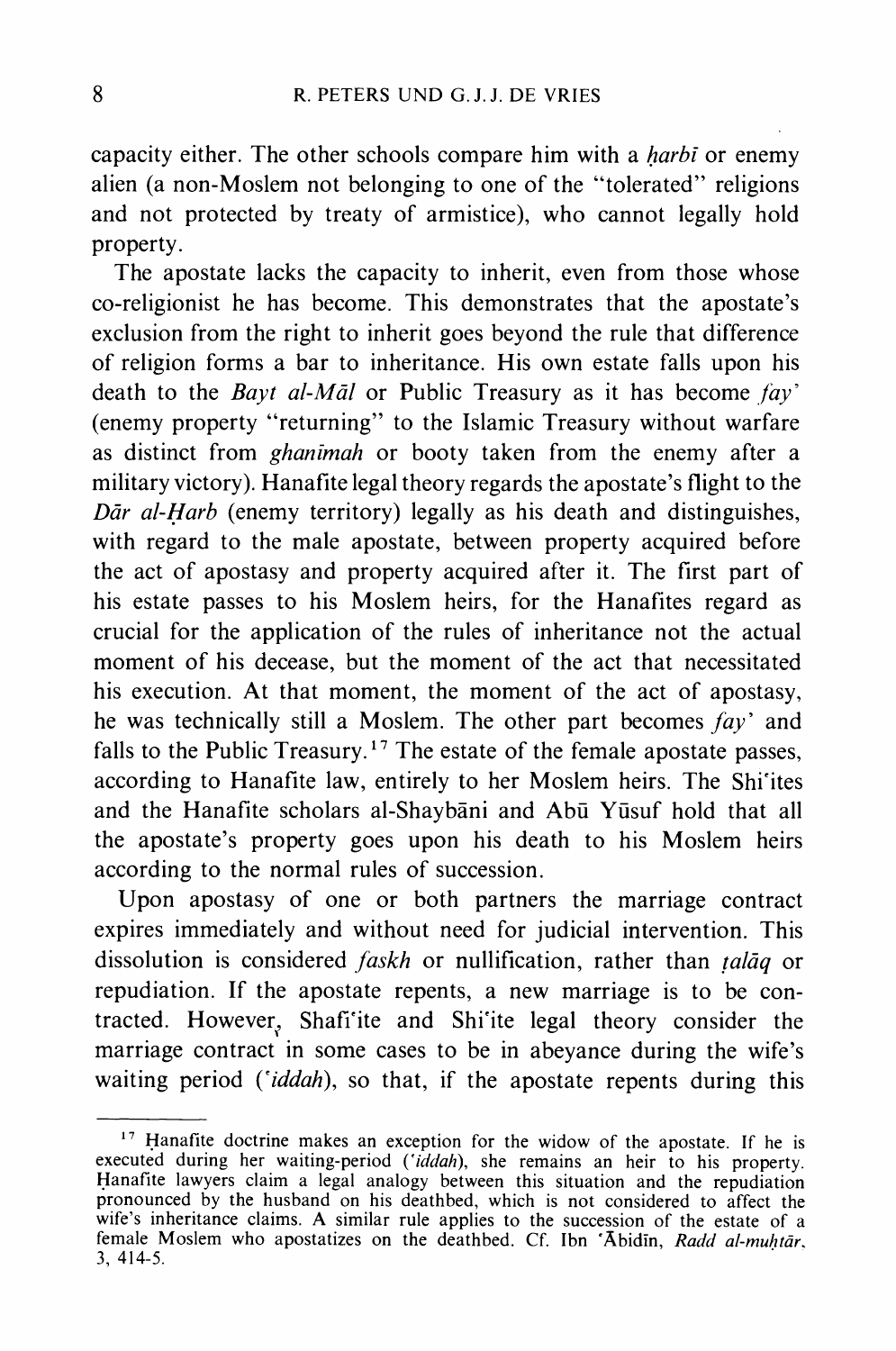**capacity either. The other schools compare him with a harbi or enemy alien (a non-Moslem not belonging to one of the "tolerated" religions and not protected by treaty of armistice), who cannot legally hold property.** 

**The apostate lacks the capacity to inherit, even from those whose co-religionist he has become. This demonstrates that the apostate's exclusion from the right to inherit goes beyond the rule that difference of religion forms a bar to inheritance. His own estate falls upon his**  death to the *Bayt al-Mal* or Public Treasury as it has become  $fay'$ **(enemy property "returning" to the Islamic Treasury without warfare as distinct from ghanimah or booty taken from the enemy after a military victory). Hanafite legal theory regards the apostate's flight to the Dar al-Harb (enemy territory) legally as his death and distinguishes, with regard to the male apostate, between property acquired before the act of apostasy and property acquired after it. The first part of his estate passes to his Moslem heirs, for the Hanafites regard as crucial for the application of the rules of inheritance not the actual moment of his decease, but the moment of the act that necessitated his execution. At that moment, the moment of the act of apostasy, he was technically still a Moslem. The other part becomes fay' and falls to the Public Treasury.17 The estate of the female apostate passes, according to Hanafite law, entirely to her Moslem heirs. The Shi'ites**  and the Hanafite scholars al-Shaybani and Abu Yusuf hold that all **the apostate's property goes upon his death to his Moslem heirs according to the normal rules of succession.** 

**Upon apostasy of one or both partners the marriage contract expires immediately and without need for judicial intervention. This dissolution is considered faskh or nullification, rather than talaq or repudiation. If the apostate repents, a new marriage is to be contracted. However, Shafi'ite and Shi'ite legal theory consider the marriage contract in some cases to be in abeyance during the wife's waiting period ('iddah), so that, if the apostate repents during this** 

**<sup>17</sup>Hanafite doctrine makes an exception for the widow of the apostate. If he is executed during her waiting-period ('iddah), she remains an heir to his property. Hanafite lawyers claim a legal analogy between this situation and the repudiation pronounced by the husband on his deathbed, which is not considered to affect the wife's inheritance claims. A similar rule applies to the succession of the estate of a female Moslem who apostatizes on the deathbed. Cf. Ibn 'Abidin, Radd al-muhtar. 3, 414-5.**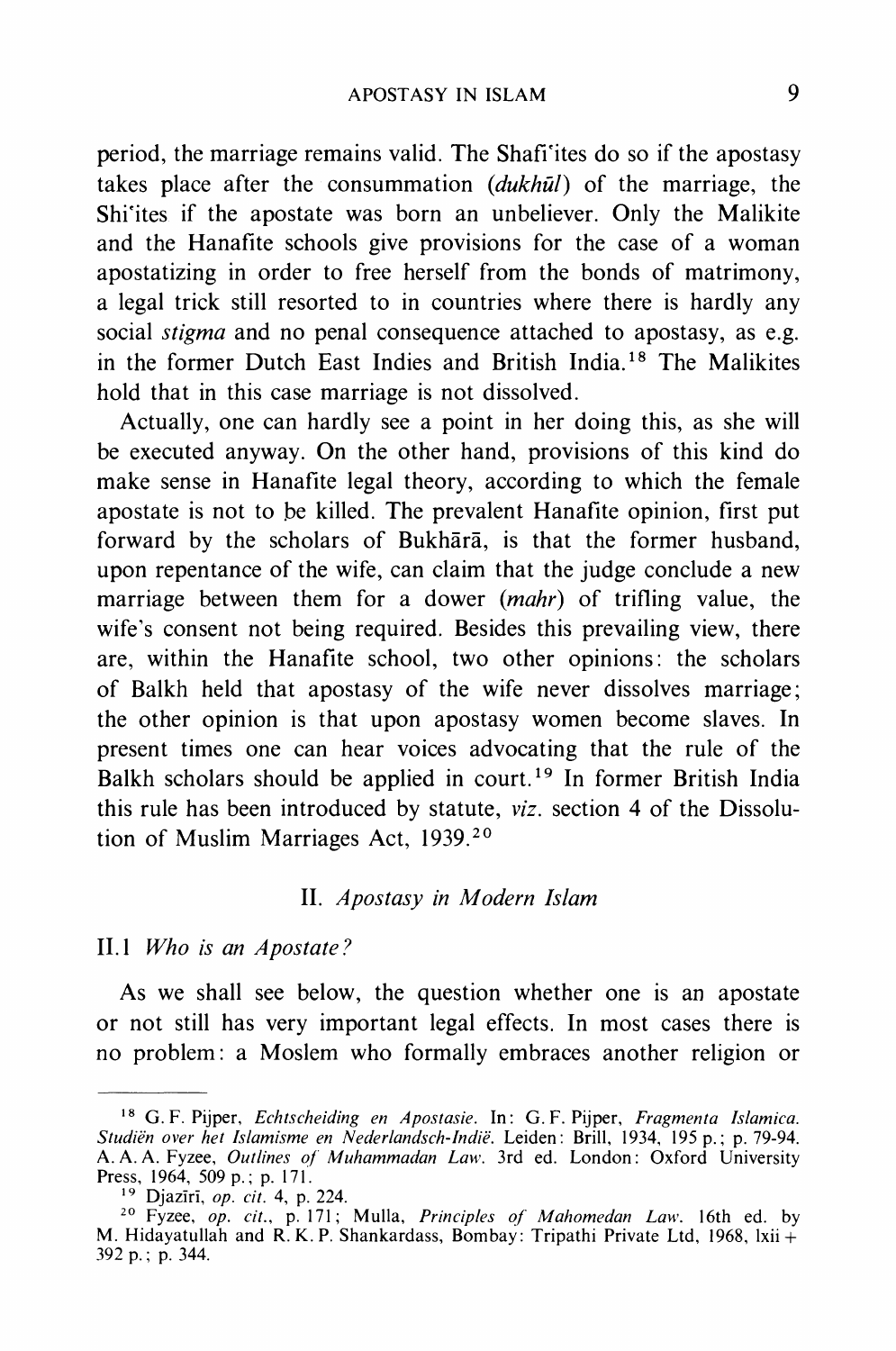**period, the marriage remains valid. The Shafi'ites do so if the apostasy takes place after the consummation (dukhil) of the marriage, the Shi'ites if the apostate was born an unbeliever. Only the Malikite and the Hanafite schools give provisions for the case of a woman apostatizing in order to free herself from the bonds of matrimony, a legal trick still resorted to in countries where there is hardly any social stigma and no penal consequence attached to apostasy, as e.g. in the former Dutch East Indies and British India.'8 The Malikites hold that in this case marriage is not dissolved.** 

**Actually, one can hardly see a point in her doing this, as she will be executed anyway. On the other hand, provisions of this kind do make sense in Hanafite legal theory, according to which the female apostate is not to be killed. The prevalent Hanafite opinion, first put forward by the scholars of Bukhara, is that the former husband, upon repentance of the wife, can claim that the judge conclude a new marriage between them for a dower (mahr) of trifling value, the wife's consent not being required. Besides this prevailing view, there are, within the Hanafite school, two other opinions: the scholars of Balkh held that apostasy of the wife never dissolves marriage; the other opinion is that upon apostasy women become slaves. In present times one can hear voices advocating that the rule of the Balkh scholars should be applied in court.19 In former British India this rule has been introduced by statute, viz. section 4 of the Dissolution of Muslim Marriages Act, 1939.20** 

## **II. Apostasy in Modern Islam**

#### **II.1 Who is an Apostate?**

**As we shall see below, the question whether one is an apostate or not still has very important legal effects. In most cases there is no problem: a Moslem who formally embraces another religion or** 

**<sup>18</sup>G.F. Pijper, Echtscheiding en Apostasie. In: G.F. Pijper, Fragmenta Islamica.**  Studiën over het Islamisme en Nederlandsch-Indië. Leiden: Brill, 1934, 195 p.; p. 79-94. **A.A.A. Fyzee, Outlines of Muhammadan Law. 3rd ed. London: Oxford University Press, 1964, 509 p.; p. 171.** 

**<sup>19</sup> Djaziri, op. cit. 4, p. 224.** 

**<sup>20</sup>Fyzee, op. cit., p. 171; Mulla, Principles of Mahomedan Law. 16th ed. by M. Hidayatullah and R. K. P. Shankardass, Bombay: Tripathi Private Ltd, 1968, lxii + 392 p.; p. 344.**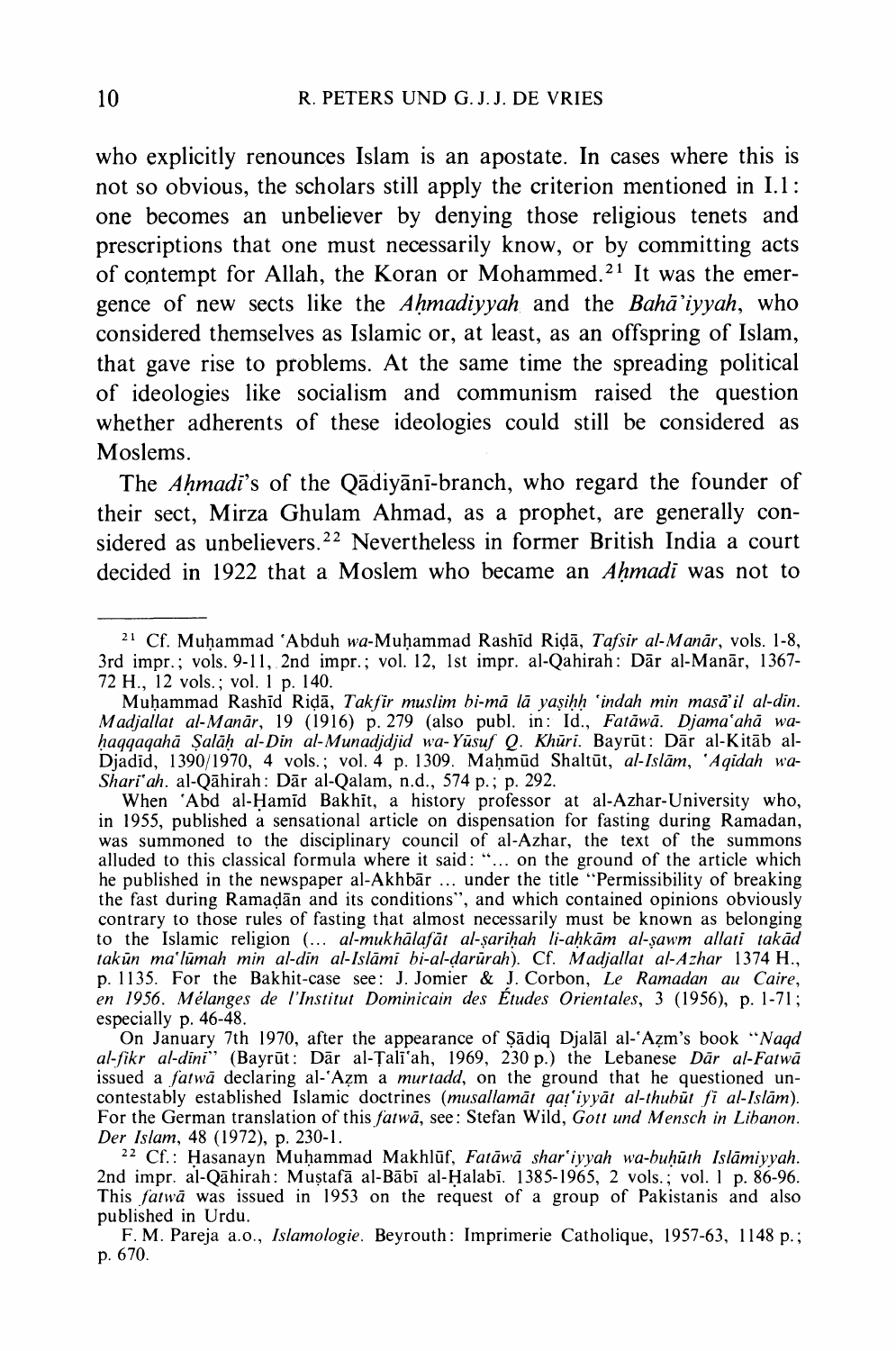**who explicitly renounces Islam is an apostate. In cases where this is not so obvious, the scholars still apply the criterion mentioned in I.1: one becomes an unbeliever by denying those religious tenets and prescriptions that one must necessarily know, or by committing acts of contempt for Allah, the Koran or Mohammed.21 It was the emer**gence of new sects like the *Ahmadiyyah* and the *Bahā'iyyah*, who **considered themselves as Islamic or, at least, as an offspring of Islam, that gave rise to problems. At the same time the spreading political of ideologies like socialism and communism raised the question whether adherents of these ideologies could still be considered as Moslems.** 

The *Ahmadi's* of the Qadiyani-branch, who regard the founder of **their sect, Mirza Ghulam Ahmad, as a prophet, are generally considered as unbelievers.22 Nevertheless in former British India a court decided in 1922 that a Moslem who became an Ahmadi was not to** 

**When 'Abd al-Hamid Bakhit, a history professor at al-Azhar-University who, in 1955, published a sensational article on dispensation for fasting during Ramadan, was summoned to the disciplinary council of al-Azhar, the text of the summons alluded to this classical formula where it said: "... on the ground of the article which he published in the newspaper al-Akhbar ... under the title "Permissibility of breaking the fast during Ramadan and its conditions", and which contained opinions obviously contrary to those rules of fasting that almost necessarily must be known as belonging**  to the Islamic religion (... al-mukhālafāt al-șariḥah li-aḥkām al-șawm allati takād **takun ma'lumah min al-din al-Islami bi-al-darurah). Cf. Madjallat al-Azhar 1374 H., p. 1135. For the Bakhit-case see: J. Jomier & J. Corbon, Le Ramadan au Caire, en 1956. Melanges de l'Institut Dominicain des Etudes Orientales, 3 (1956), p. 1-71; especially p. 46-48.** 

**On January 7th 1970, after the appearance of Sadiq Djalal al-'Azm's book "Naqd al-fikr al-dini" (Bayrut: Dar al-Tali'ah, 1969, 230 p.) the Lebanese Dar al-Fatwa**  issued a *fatwa* declaring al-'Azm a *murtadd*, on the ground that he questioned uncontestably established Islamic doctrines (musallamāt qat'iyyāt al-thubut fi al-Islām). For the German translation of this fatwa, see: Stefan Wild, Gott und Mensch in Libanon. **Der Islam, 48 (1972), p. 230-1.** 

<sup>22</sup> Cf.: Hasanayn Muhammad Makhlūf, Fatāwā shar'iyyah wa-buhūth Islāmiyyah. **2nd impr. al-Qahirah: Mustafa al-Bgbi al-Halabi. 1385-1965, 2 vols.; vol. 1 p. 86-96. This fatwa was issued in 1953 on the request of a group of Pakistanis and also published in Urdu.** 

**F. M. Pareja a.o., Islamologie. Beyrouth: Imprimerie Catholique, 1957-63, 1148 p.; p. 670.** 

**<sup>21</sup>Cf. Muhammad 'Abduh wa-Muhammad Rashid Rida, Tafsir al-Mandr, vols. 1-8, 3rd impr.; vols. 9-11, 2nd impr.; vol. 12, 1st impr. al-Qahirah: Dar al-Manar, 1367- 72 H., 12 vols.; vol. 1 p. 140.** 

**Muhammad Rashid Rida, Takfir muslim bi-ma la yasihh 'indah min masa'il al-din. Madjallat al-Mandr, 19 (1916) p. 279 (also publ. in: Id., Fatdwd. Djama'ahd wa**h*aqqaqahā Salāh al-Din al-Munadjdjid wa-Yūsuf Q. Khūri.* Bayrūt: Dār al-Kitāb al-**Djadid, 1390/1970, 4 vols.; vol. 4 p. 1309. Mahmud Shaltit, al-Islam, 'Aqidah wa-Shari'ah. al-Qahirah: Dar al-Qalam, n.d., 574 p.; p. 292.**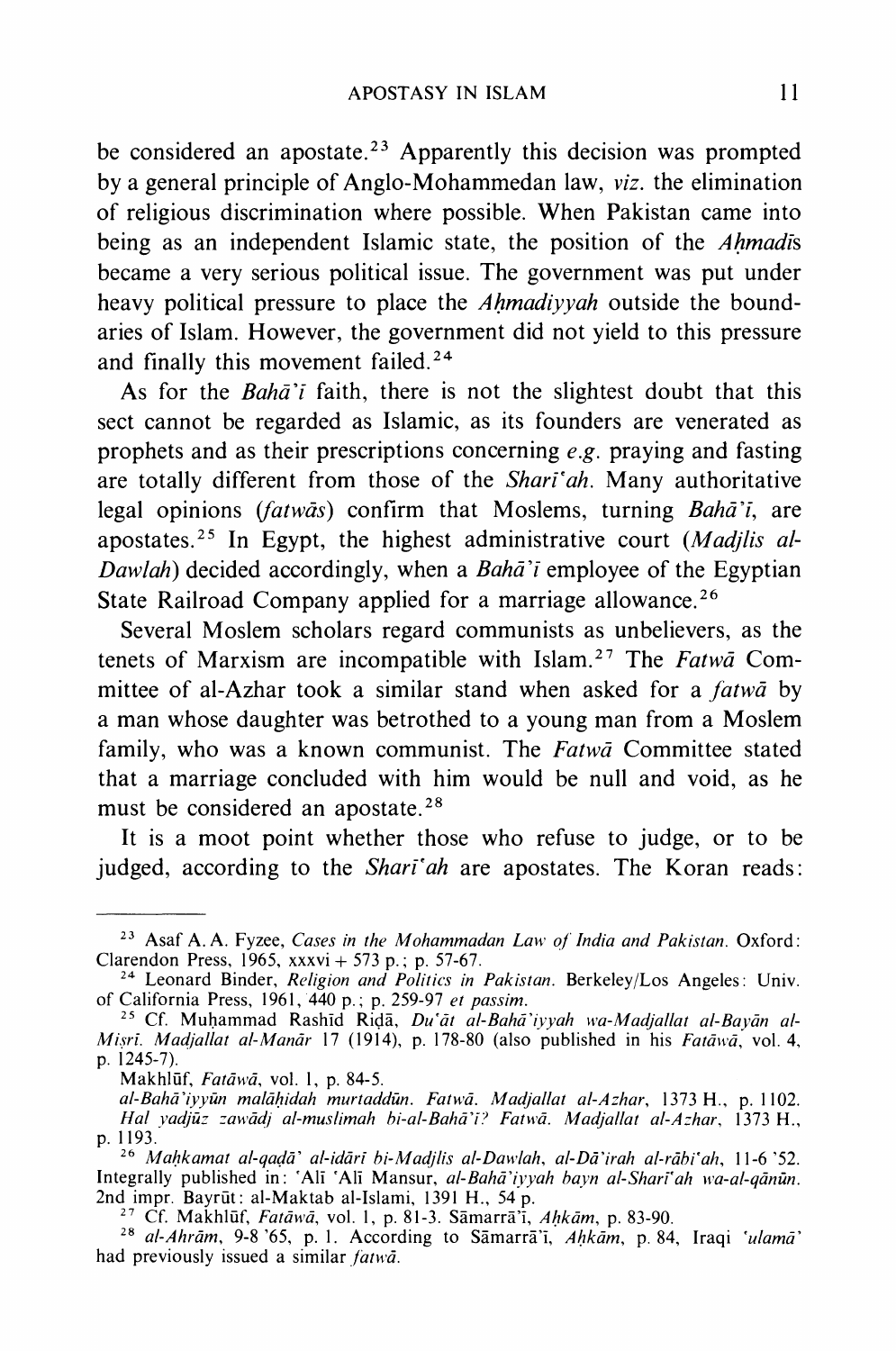**be considered an apostate.23 Apparently this decision was prompted by a general principle of Anglo-Mohammedan law, viz. the elimination of religious discrimination where possible. When Pakistan came into being as an independent Islamic state, the position of the Ahmadis became a very serious political issue. The government was put under heavy political pressure to place the Ahmadiyyah outside the boundaries of Islam. However, the government did not yield to this pressure and finally this movement failed.24** 

As for the *Bahā'i* faith, there is not the slightest doubt that this **sect cannot be regarded as Islamic, as its founders are venerated as prophets and as their prescriptions concerning e.g. praying and fasting are totally different from those of the Shari'ah. Many authoritative**  legal opinions (fatwas) confirm that Moslems, turning Baha'i, are **apostates.25 In Egypt, the highest administrative court (Madjlis al-**Dawlah) decided accordingly, when a Baha<sup>'</sup> i employee of the Egyptian **State Railroad Company applied for a marriage allowance.26** 

**Several Moslem scholars regard communists as unbelievers, as the**  tenets of Marxism are incompatible with Islam.<sup>27</sup> The *Fatwa* Committee of al-Azhar took a similar stand when asked for a *fatwa* by **a man whose daughter was betrothed to a young man from a Moslem**  family, who was a known communist. The Fatwa Committee stated **that a marriage concluded with him would be null and void, as he must be considered an apostate.28** 

**It is a moot point whether those who refuse to judge, or to be judged, according to the Shari'ah are apostates. The Koran reads:** 

**<sup>23</sup>Asaf A. A. Fyzee, Cases in the Mohammadan Law of India and Pakistan. Oxford: Clarendon Press, 1965, xxxvi + 573 p.; p. 57-67.** 

<sup>&</sup>lt;sup>24</sup> Leonard Binder, Religion and Politics in Pakistan. Berkeley/Los Angeles: Univ. **of California Press, 1961, 440 p.; p. 259-97 et passim.** 

<sup>&</sup>lt;sup>25</sup> Cf. Muhammad Rashid Ridā, Du'āt al-Bahā'iyyah wa-Madjallat al-Bayān al-Misri. Madjallat al-Manār 17 (1914), p. 178-80 (also published in his Fatāwā, vol. 4, **p. 1245-7).** 

Makhlūf, *Fatāwā*, vol. 1, p. 84-5.

al-Bahā'iyyūn malāhidah murtaddūn. Fatwā. Madjallat al-Azhar, 1373 H., p. 1102. **Hal vadjuz zawddj al-muslimah bi-al-Bahd'i? Fatwd. Madjallat al-Azhar, 1373 H., p. 1193.** 

<sup>&</sup>lt;sup>26</sup> Mahkamat al-qadā' al-idārī bi-Madjlis al-Dawlah, al-Dā'irah al-rābi'ah, 11-6 '52. **Integrally published in: 'Ali 'All Mansur, al-Baha'iyyah bayn al-Shari'ah iwa-al-qanun. 2nd impr. Bayrut: al-Maktab al-Islami, 1391 H., 54 p.** 

<sup>&</sup>lt;sup>27</sup> Cf. Makhlūf, Fatāwā, vol. 1, p. 81-3. Sāmarrā'i, Ahkām, p. 83-90.

<sup>&</sup>lt;sup>28</sup> al-Ahrām, 9-8 '65, p. 1. According to Sāmarrā'i, Ahkām, p. 84, Iraqi 'ulamā' had previously issued a similar fatwa.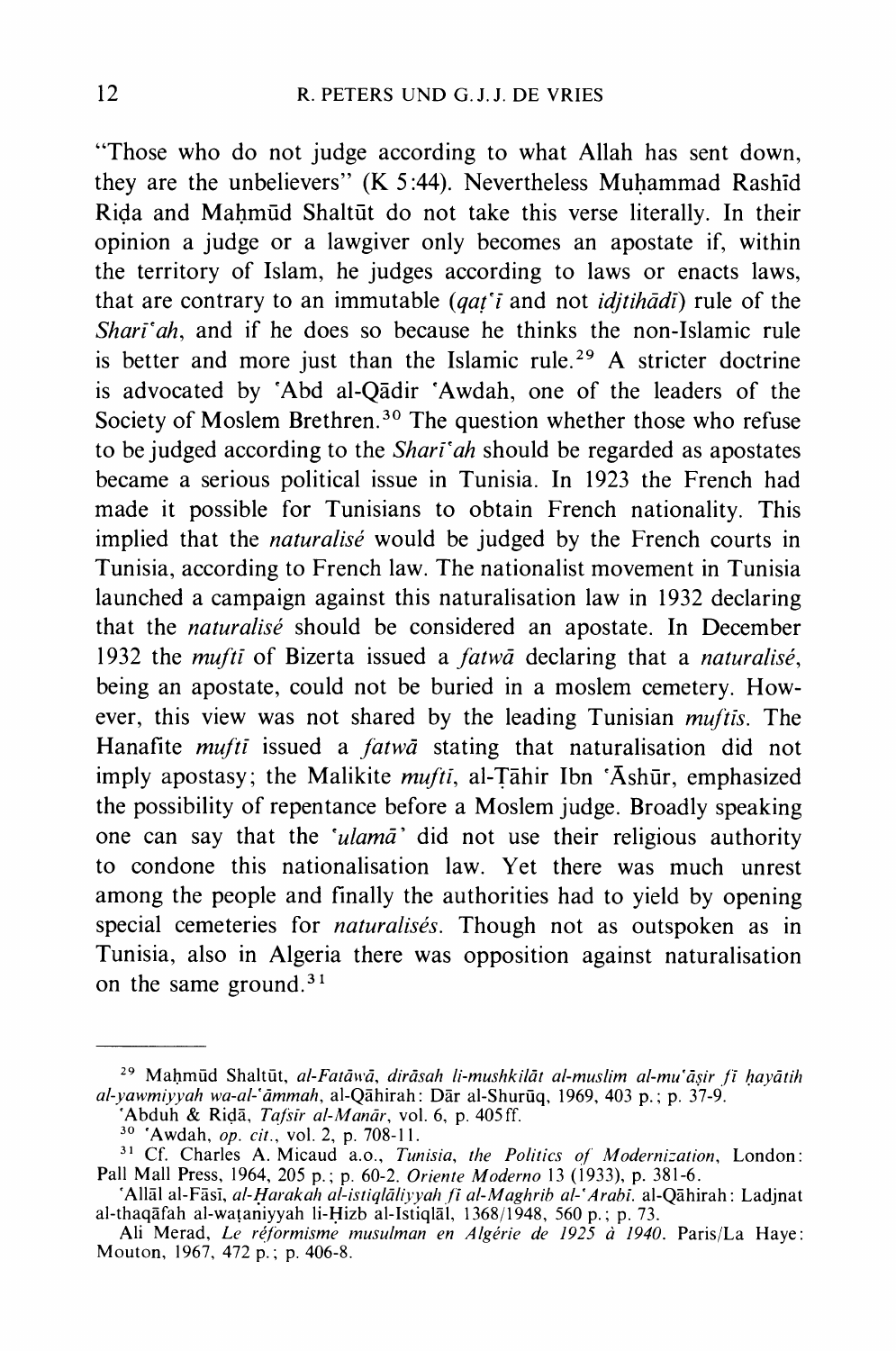**"Those who do not judge according to what Allah has sent down, they are the unbelievers" (K 5:44). Nevertheless Muhammad Rashid Rida and Mahmud Shaltiit do not take this verse literally. In their opinion a judge or a lawgiver only becomes an apostate if, within the territory of Islam, he judges according to laws or enacts laws,**  that are contrary to an immutable  $(qat^{\dagger}$  and not *idjtihadi*) rule of the Shari'ah, and if he does so because he thinks the non-Islamic rule **is better and more just than the Islamic rule.29 A stricter doctrine is advocated by 'Abd al-Qadir 'Awdah, one of the leaders of the Society of Moslem Brethren.30 The question whether those who refuse to be judged according to the Shari'ah should be regarded as apostates became a serious political issue in Tunisia. In 1923 the French had made it possible for Tunisians to obtain French nationality. This**  implied that the *naturalisé* would be judged by the French courts in **Tunisia, according to French law. The nationalist movement in Tunisia launched a campaign against this naturalisation law in 1932 declaring that the naturalise should be considered an apostate. In December 1932 the mufti of Bizerta issued a fatwa declaring that a naturalise, being an apostate, could not be buried in a moslem cemetery. However, this view was not shared by the leading Tunisian muftis. The**  Hanafite *mufti* issued a *fatwa* stating that naturalisation did not imply apostasy; the Malikite *mufti*, al-Tāhir Ibn 'Āshūr, emphasized **the possibility of repentance before a Moslem judge. Broadly speaking**  one can say that the 'ulama' did not use their religious authority **to condone this nationalisation law. Yet there was much unrest among the people and finally the authorities had to yield by opening**  special cemeteries for *naturalisés*. Though not as outspoken as in **Tunisia, also in Algeria there was opposition against naturalisation on the same ground.31** 

<sup>&</sup>lt;sup>29</sup> Mahmūd Shaltūt, al-Fatāwā, dirāsah li-mushkilāt al-muslim al-mu'āsir fī havātih **al-yawmiyyah wa-al-'dmmah, al-Qahirah: Dar al-Shuruq, 1969, 403 p.; p. 37-9.** 

**<sup>&#</sup>x27;Abduh & Rida, Tafsir al-Manar, vol. 6, p. 405ff.** 

**<sup>30</sup>'Awdah, op. cit., vol. 2, p. 708-11. <sup>31</sup>Cf. Charles A. Micaud a.o., Tunisia, the Politics of Modernization, London: Pall Mall Press, 1964, 205 p.; p. 60-2. Oriente Moderno 13 (1933), p. 381-6.** 

**<sup>&#</sup>x27;Allal al-Fasi, al-Harakah al-istiqlaliyyah fl al-Maghrib al-'Arabi. al-Qahirah: Ladjnat al-thaqafah al-wataniyyah li-Hizb al-Istiqlal, 1368/1948, 560 p.; p. 73.** 

**Ali Merad, Le refbrmisme musulman en Algerie de 1925 d 1940. Paris/La Haye: Mouton, 1967, 472 p.; p. 406-8.**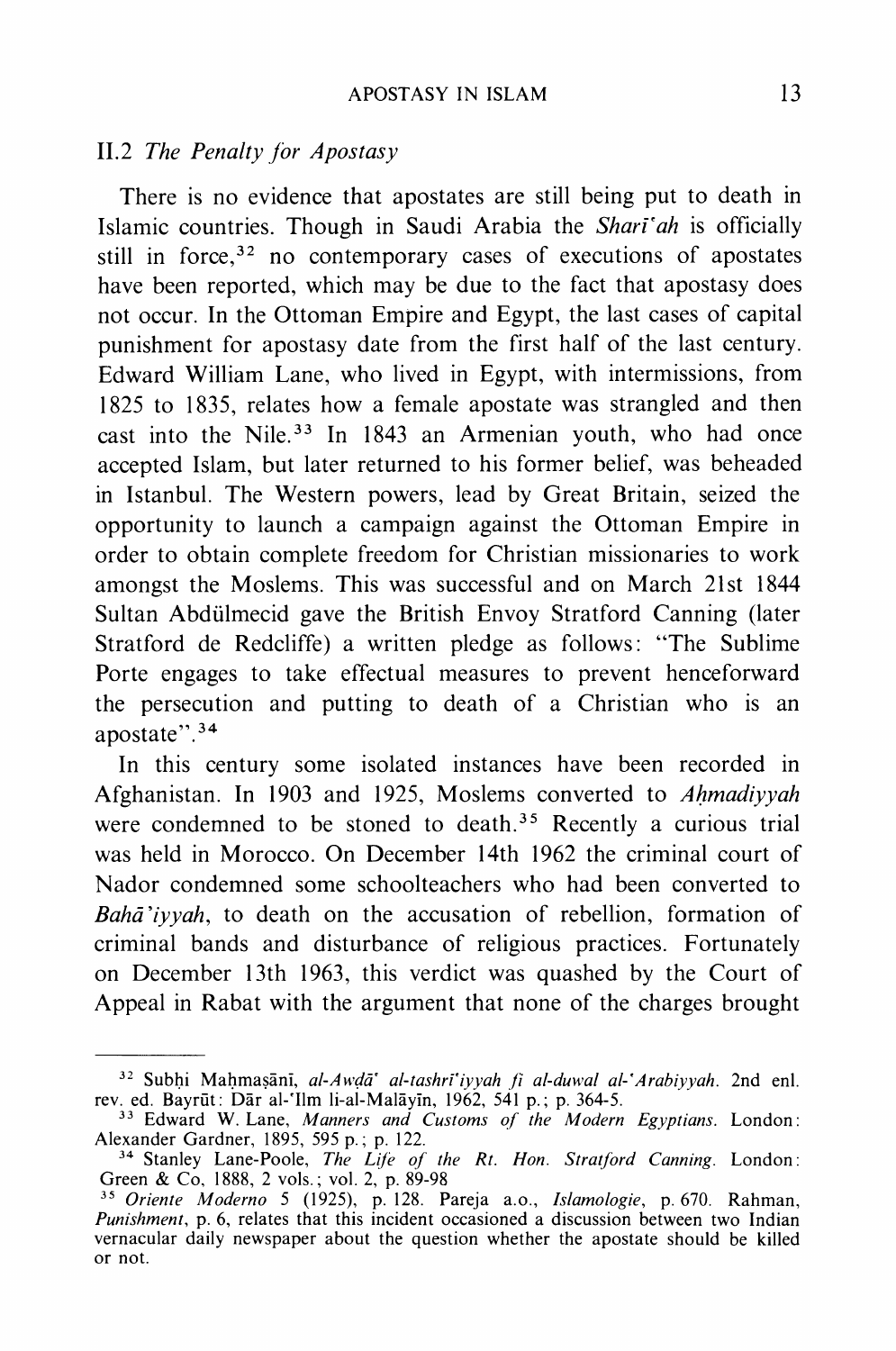#### **11.2 The Penalty for Apostasy**

**There is no evidence that apostates are still being put to death in Islamic countries. Though in Saudi Arabia the Shari'ah is officially still in force,32 no contemporary cases of executions of apostates have been reported, which may be due to the fact that apostasy does not occur. In the Ottoman Empire and Egypt, the last cases of capital punishment for apostasy date from the first half of the last century. Edward William Lane, who lived in Egypt, with intermissions, from 1825 to 1835, relates how a female apostate was strangled and then cast into the Nile.33 In 1843 an Armenian youth, who had once accepted Islam, but later returned to his former belief, was beheaded in Istanbul. The Western powers, lead by Great Britain, seized the opportunity to launch a campaign against the Ottoman Empire in order to obtain complete freedom for Christian missionaries to work amongst the Moslems. This was successful and on March 21st 1844 Sultan Abdulmecid gave the British Envoy Stratford Canning (later Stratford de Redcliffe) a written pledge as follows: "The Sublime Porte engages to take effectual measures to prevent henceforward the persecution and putting to death of a Christian who is an apostate".34** 

**In this century some isolated instances have been recorded in Afghanistan. In 1903 and 1925, Moslems converted to Ahmadiyyah were condemned to be stoned to death.35 Recently a curious trial was held in Morocco. On December 14th 1962 the criminal court of Nador condemned some schoolteachers who had been converted to Baha'iyyah, to death on the accusation of rebellion, formation of criminal bands and disturbance of religious practices. Fortunately on December 13th 1963, this verdict was quashed by the Court of Appeal in Rabat with the argument that none of the charges brought** 

<sup>&</sup>lt;sup>32</sup> Subhi Mahmasani, al-Awda<sup>t</sup> al-tashri'iyyah fi al-duwal al-'Arabiyyah. 2nd enl. **rev. ed. Bayrut: Dar al-'Ilm li-al-Malayin, 1962, 541 p.; p. 364-5.** 

**<sup>33</sup>Edward W. Lane, Manners and Customs of the Modern Egyptians. London: Alexander Gardner, 1895, 595 p.; p. 122.** 

**<sup>34</sup>Stanley Lane-Poole, The Life of the Rt. Hon. Stratford Canning. London: Green & Co, 1888, 2 vols.; vol. 2, p. 89-98** 

**<sup>35</sup>Oriente Moderno 5 (1925), p. 128. Pareja a.o., Islamologie, p. 670. Rahman, Punishment, p. 6, relates that this incident occasioned a discussion between two Indian vernacular daily newspaper about the question whether the apostate should be killed or not.**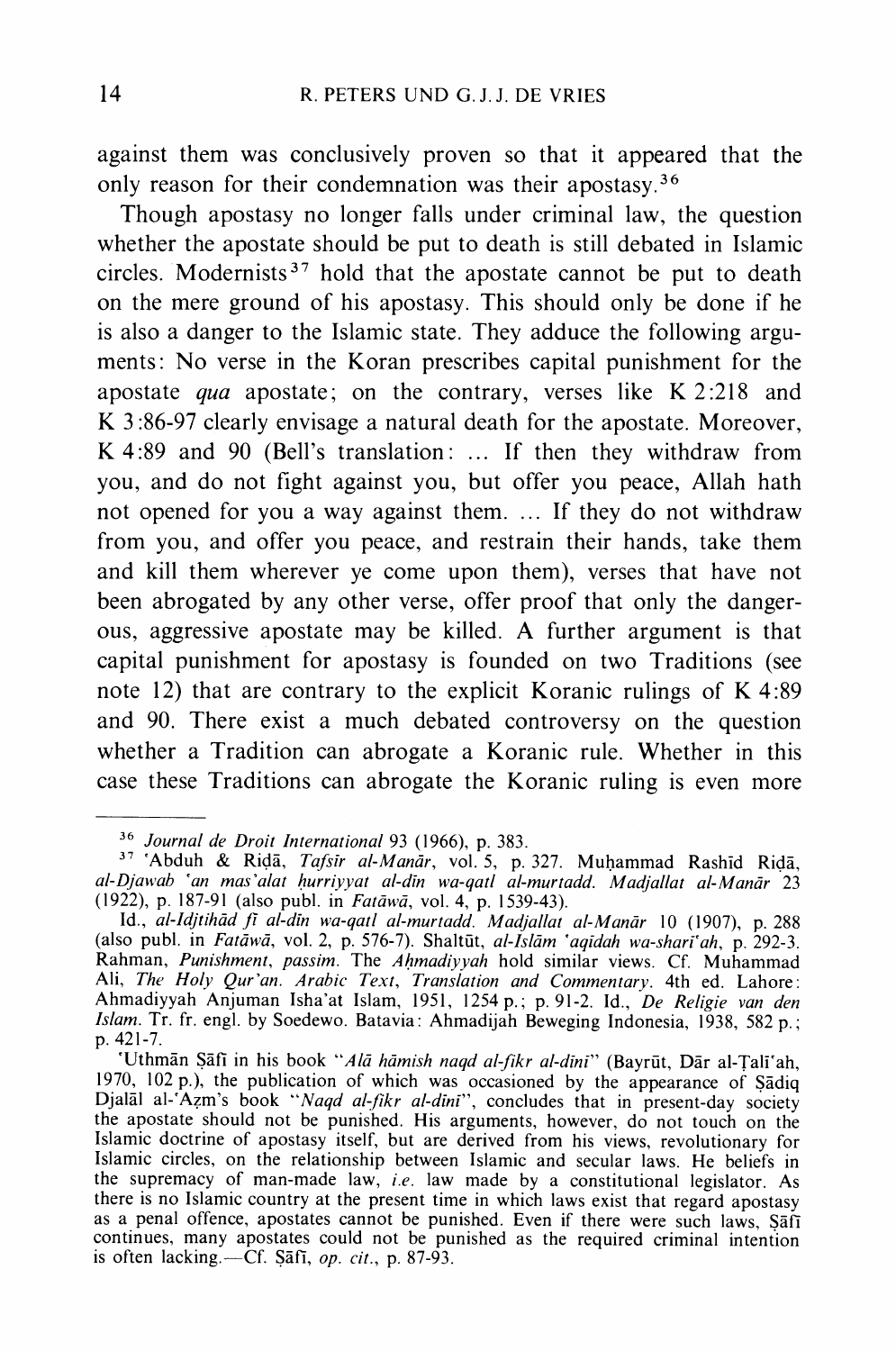**against them was conclusively proven so that it appeared that the only reason for their condemnation was their apostasy.36** 

**Though apostasy no longer falls under criminal law, the question whether the apostate should be put to death is still debated in Islamic circles. Modernists37 hold that the apostate cannot be put to death on the mere ground of his apostasy. This should only be done if he is also a danger to the Islamic state. They adduce the following arguments: No verse in the Koran prescribes capital punishment for the apostate qua apostate; on the contrary, verses like K 2:218 and K 3:86-97 clearly envisage a natural death for the apostate. Moreover, K 4:89 and 90 (Bell's translation: ... If then they withdraw from you, and do not fight against you, but offer you peace, Allah hath not opened for you a way against them. ... If they do not withdraw from you, and offer you peace, and restrain their hands, take them and kill them wherever ye come upon them), verses that have not been abrogated by any other verse, offer proof that only the dangerous, aggressive apostate may be killed. A further argument is that capital punishment for apostasy is founded on two Traditions (see note 12) that are contrary to the explicit Koranic rulings of K 4:89 and 90. There exist a much debated controversy on the question whether a Tradition can abrogate a Koranic rule. Whether in this case these Traditions can abrogate the Koranic ruling is even more** 

**<sup>36</sup>Journal de Droit International 93 (1966), p. 383.** 

<sup>&</sup>lt;sup>37</sup>**'Abduh & Rida, Tafsir al-Manar**, vol. 5, p. 327. Muhammad Rashid Rida, **al-Djawab 'an mas'alat hurriyyat al-din wa-qatl al-murtadd. Madjallat al-Mandr 23 (1922), p. 187-91 (also publ. in Fatdwa, vol. 4, p. 1539-43).** 

Id., al-Idjtihad fi al-din wa-qatl al-murtadd. Madjallat al-Manar 10 (1907), p. 288 (also publ. in Fatawa, vol. 2, p. 576-7). Shaltūt, al-Islām 'agidah wa-shari'ah, p. 292-3. **Rahman, Punishment, passim. The Ahmadiyyah hold similar views. Cf. Muhammad Ali, The Holy Qur'an. Arabic Text, Translation and Commentary. 4th ed. Lahore: Ahmadiyyah Anjuman Isha'at Islam, 1951, 1254 p.; p. 91-2. Id., De Religie van den Islam. Tr. fr. engl. by Soedewo. Batavia: Ahmadijah Beweging Indonesia, 1938, 582 p.; p. 421-7.** 

**<sup>&#</sup>x27;Uthman Safi in his book "Aid hdmish naqd al-fikr al-dini" (Bayriit, Dar al-Tali'ah, 1970, 102 p.), the publication of which was occasioned by the appearance of Sadiq Djalal al-'Azm's book "Naqd al-fikr al-dini", concludes that in present-day society the apostate should not be punished. His arguments, however, do not touch on the Islamic doctrine of apostasy itself, but are derived from his views, revolutionary for Islamic circles, on the relationship between Islamic and secular laws. He beliefs in the supremacy of man-made law, i.e. law made by a constitutional legislator. As there is no Islamic country at the present time in which laws exist that regard apostasy**  as a penal offence, apostates cannot be punished. Even if there were such laws, Safi continues, many apostates could not be punished as the required criminal intention **is often lacking.-Cf. Safi, op. cit., p. 87-93.**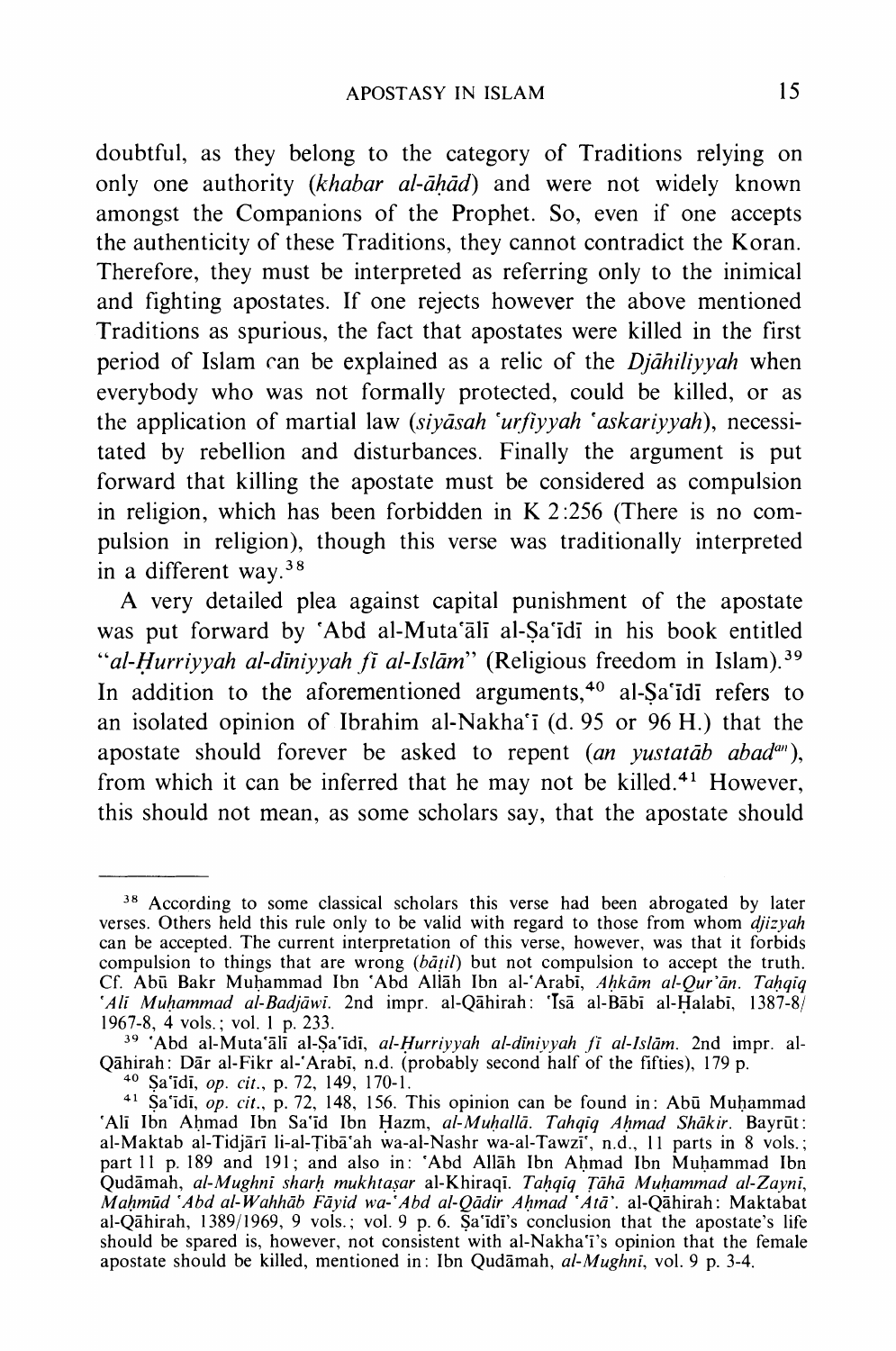**doubtful, as they belong to the category of Traditions relying on**  only one authority (khabar al-āhād) and were not widely known **amongst the Companions of the Prophet. So, even if one accepts the authenticity of these Traditions, they cannot contradict the Koran. Therefore, they must be interpreted as referring only to the inimical and fighting apostates. If one rejects however the above mentioned Traditions as spurious, the fact that apostates were killed in the first period of Islam can be explained as a relic of the Djdhiliyyah when everybody who was not formally protected, could be killed, or as the application of martial law (siyasah 'urfiyyah 'askariyyah), necessitated by rebellion and disturbances. Finally the argument is put forward that killing the apostate must be considered as compulsion in religion, which has been forbidden in K 2:256 (There is no compulsion in religion), though this verse was traditionally interpreted in a different way.38** 

**A very detailed plea against capital punishment of the apostate was put forward by 'Abd al-Muta'ali al-Sa'idi in his book entitled**  "al-Hurriyyah al-diniyyah fi al-Islām" (Religious freedom in Islam).<sup>39</sup> In addition to the aforementioned arguments,<sup>40</sup> al-Sa'idi refers to **an isolated opinion of Ibrahim al-Nakha'i (d. 95 or 96 H.) that the**  apostate should forever be asked to repent (an yustatab abad<sup>an</sup>), **from which it can be inferred that he may not be killed.41 However, this should not mean, as some scholars say, that the apostate should** 

<sup>39</sup> 'Abd al-Muta'ali al-Sa'idi, al-Hurriyyah al-diniyyah fi al-Islām. 2nd impr. al-**Qahirah: Dar al-Fikr al-'Arabi, n.d. (probably second half of the fifties), 179 p.** 

**<sup>40</sup>Sa'idi, op. cit., p. 72, 149, 170-1.** 

**<sup>38</sup>According to some classical scholars this verse had been abrogated by later**  verses. Others held this rule only to be valid with regard to those from whom *djizyah* **can be accepted. The current interpretation of this verse, however, was that it forbids**  compulsion to things that are wrong (batil) but not compulsion to accept the truth. **Cf. Abu Bakr Muhammad Ibn 'Abd Allah Ibn al-'Arabi, Ahkam al-Qur'an. Tahqiq 'All Muhammad al-Badjdawi. 2nd impr. al-Qahirah: 'Tsa al-Babi al-Halabi, 1387-8/ 1967-8, 4 vols.; vol. 1 p. 233.** 

**<sup>41</sup>Sa'idi, op. cit., p. 72, 148, 156. This opinion can be found in: Abu Muhammad**  'Ali Ibn Ahmad Ibn Sa'id Ibn Hazm, al-Muhalla. Tahqiq Ahmad Shakir. Bayrut: **al-Maktab al-Tidjari li-al-Tiba'ah wa-al-Nashr wa-al-Tawzi', n.d., 11 parts in 8 vols.; part 11 p. 189 and 191; and also in: 'Abd Allah Ibn Ahmad Ibn Muhammad Ibn**  Qudāmah, *al-Mughni sharh mukhtasar* al-Khiraqī. *Tahqiq Tāhā Muhammad al-Zayni*, **Mahmud 'Abd al-Wahhdb Fdyid wa-'Abd al-Qddir Ahmad 'Atd'. al-Qahirah: Maktabat al-Qahirah, 1389/1969, 9 vols.; vol. 9 p. 6. Sa'idi's conclusion that the apostate's life should be spared is, however, not consistent with al-Nakha'i's opinion that the female apostate should be killed, mentioned in: Ibn Qudamah, al-Mughni, vol. 9 p. 3-4.**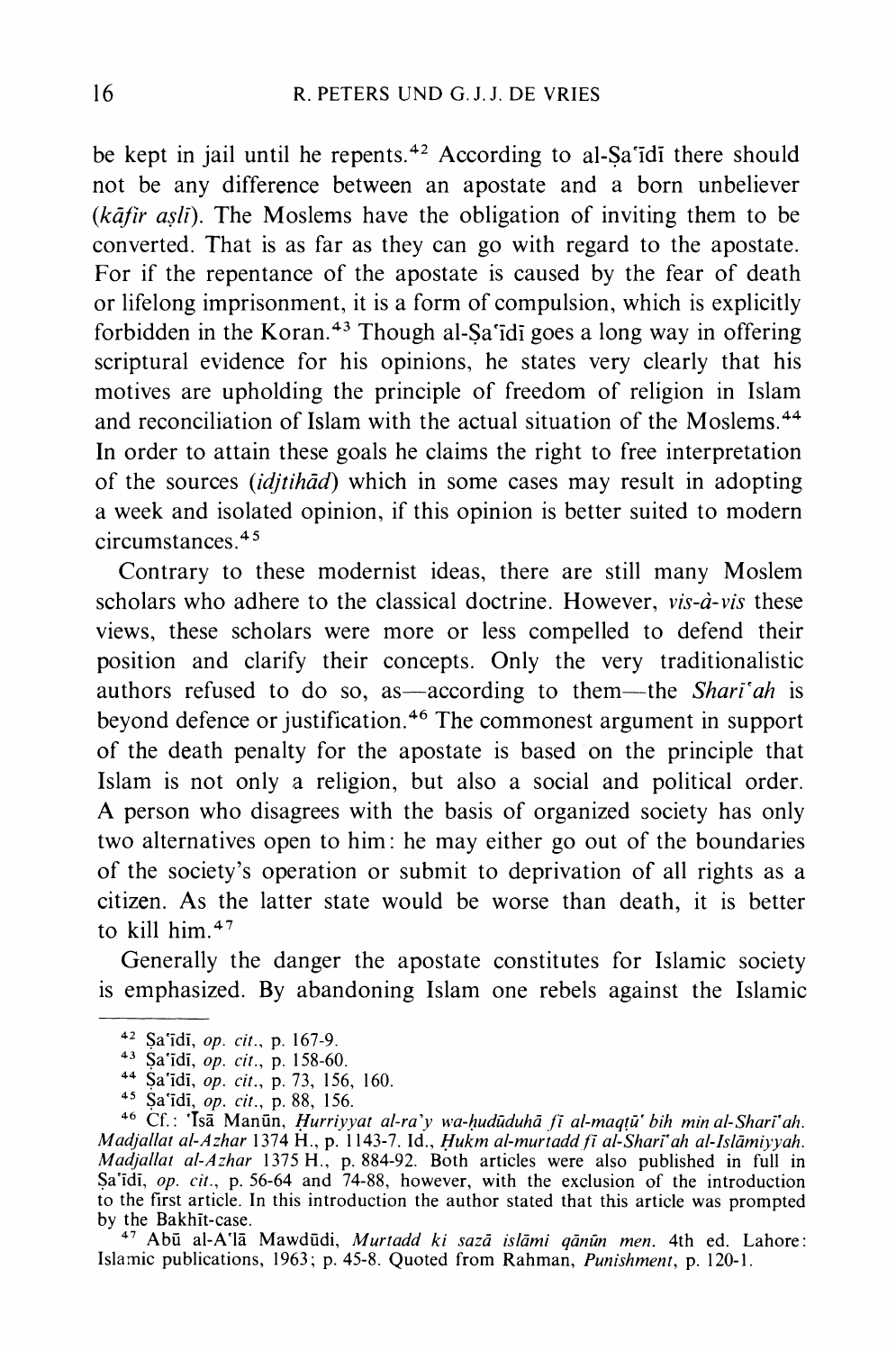**be kept in jail until he repents.42 According to al-Sa'idi there should not be any difference between an apostate and a born unbeliever (kafir asli). The Moslems have the obligation of inviting them to be converted. That is as far as they can go with regard to the apostate. For if the repentance of the apostate is caused by the fear of death or lifelong imprisonment, it is a form of compulsion, which is explicitly forbidden in the Koran.43 Though al-Sa'idi goes a long way in offering scriptural evidence for his opinions, he states very clearly that his motives are upholding the principle of freedom of religion in Islam and reconciliation of Islam with the actual situation of the Moslems.44 In order to attain these goals he claims the right to free interpretation of the sources (idjtihad) which in some cases may result in adopting a week and isolated opinion, if this opinion is better suited to modern circumstances.45** 

**Contrary to these modernist ideas, there are still many Moslem**  scholars who adhere to the classical doctrine. However, *vis-à-vis* these **views, these scholars were more or less compelled to defend their position and clarify their concepts. Only the very traditionalistic**  authors refused to do so, as—according to them—the *Shari'ah* is **beyond defence or justification.46 The commonest argument in support of the death penalty for the apostate is based on the principle that Islam is not only a religion, but also a social and political order. A person who disagrees with the basis of organized society has only two alternatives open to him: he may either go out of the boundaries of the society's operation or submit to deprivation of all rights as a citizen. As the latter state would be worse than death, it is better to kill him.47** 

**Generally the danger the apostate constitutes for Islamic society is emphasized. By abandoning Islam one rebels against the Islamic** 

<sup>47</sup> Abū al-A'lā Mawdūdi, Murtadd ki sazā islāmi qānūn men. 4th ed. Lahore: **Islamic publications, 1963; p. 45-8. Quoted from Rahman, Punishment, p. 120-1.** 

**<sup>42</sup>Sa'idi, op. cit., p. 167-9.** 

**<sup>43</sup>Sa'idi, op. cit., p. 158-60.** 

**<sup>44</sup>Sa'idi, op. cit., p. 73, 156, 160.** 

**<sup>4</sup>Sa'idi, op. cit., p. 88, 156.** 

<sup>&</sup>lt;sup>46</sup> Cf.: 'Isa Manun, *Hurriyyat al-ra'y wa-hududuha fi al-maqtu' bih min al-Shari'ah.* **Madjallat al-Azhar 1374 H., p. 1143-7. Id., Hukm al-murtadd fi al-Shari'ah al-Isldmiyyah. Madjallat al-Azhar 1375 H., p. 884-92. Both articles were also published in full in Sa'Tdi, op. cit., p. 56-64 and 74-88, however, with the exclusion of the introduction to the first article. In this introduction the author stated that this article was prompted by the Bakhit-case.**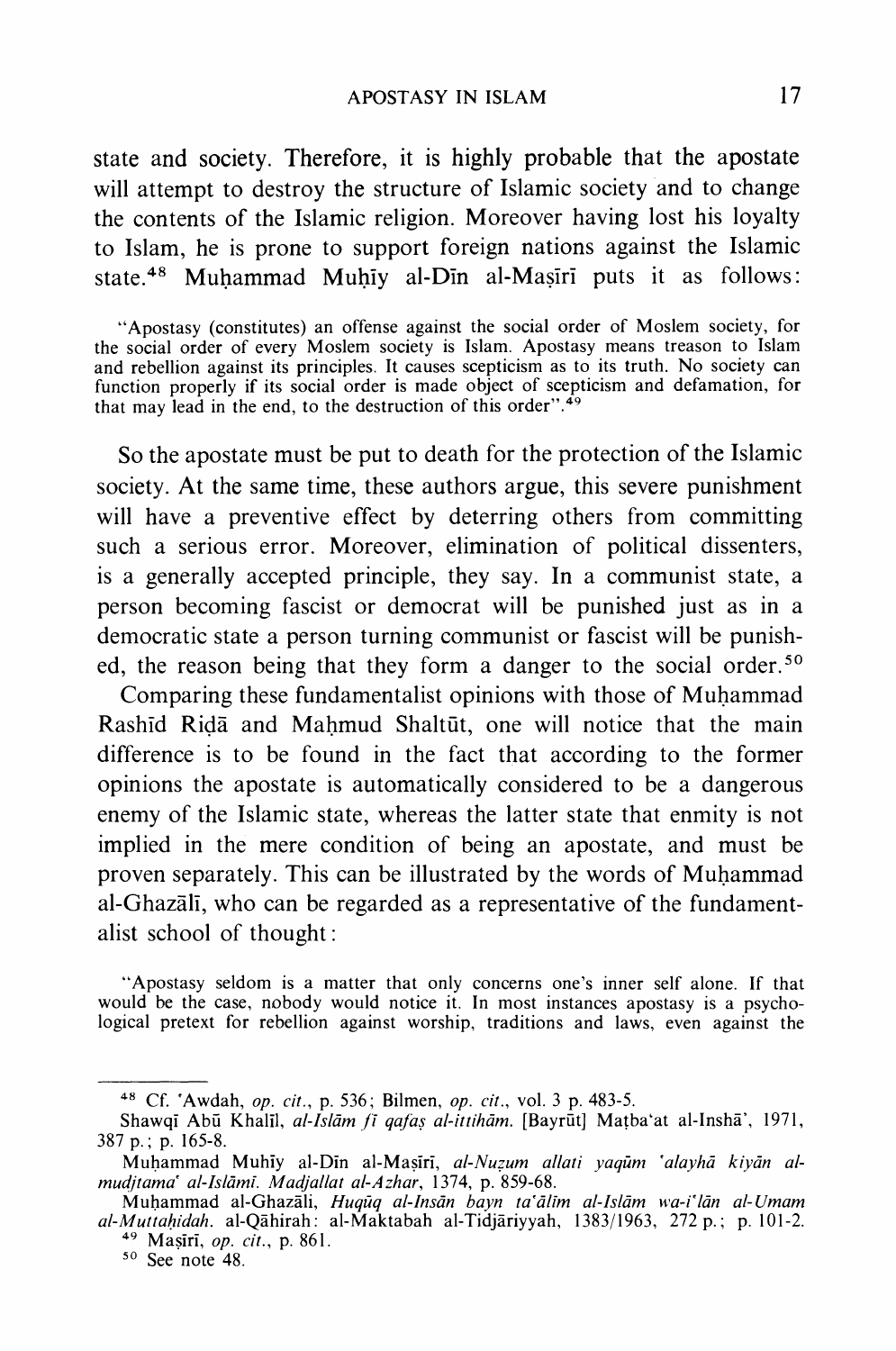**state and society. Therefore, it is highly probable that the apostate will attempt to destroy the structure of Islamic society and to change the contents of the Islamic religion. Moreover having lost his loyalty to Islam, he is prone to support foreign nations against the Islamic state.48 Muhammad Muhiy al-Din al-Masiri puts it as follows:** 

**"Apostasy (constitutes) an offense against the social order of Moslem society, for the social order of every Moslem society is Islam. Apostasy means treason to Islam and rebellion against its principles. It causes scepticism as to its truth. No society can function properly if its social order is made object of scepticism and defamation, for that may lead in the end, to the destruction of this order".49** 

**So the apostate must be put to death for the protection of the Islamic society. At the same time, these authors argue, this severe punishment will have a preventive effect by deterring others from committing such a serious error. Moreover, elimination of political dissenters, is a generally accepted principle, they say. In a communist state, a person becoming fascist or democrat will be punished just as in a democratic state a person turning communist or fascist will be punished, the reason being that they form a danger to the social order.50** 

**Comparing these fundamentalist opinions with those of Muhammad Rashid Rida and Mahmud Shaltuit, one will notice that the main difference is to be found in the fact that according to the former opinions the apostate is automatically considered to be a dangerous enemy of the Islamic state, whereas the latter state that enmity is not implied in the mere condition of being an apostate, and must be proven separately. This can be illustrated by the words of Muhammad al-Ghazali, who can be regarded as a representative of the fundamentalist school of thought:** 

**"Apostasy seldom is a matter that only concerns one's inner self alone. If that would be the case, nobody would notice it. In most instances apostasy is a psychological pretext for rebellion against worship, traditions and laws, even against the** 

**<sup>49</sup>Masiri, op. cit., p. 861.** 

**<sup>48</sup>Cf. 'Awdah, op. cit., p. 536; Bilmen, op. cit., vol. 3 p. 483-5.** 

**Shawqi Abu Khalil, al-Islam fi qafas al-ittihdm. [Bayrit] Matba'at al-Insha', 1971, 387 p.; p. 165-8.** 

Muhammad Muhiy al-Din al-Masiri, *al-Nuzum allati yaqum 'alayhā kiyān al***mudjtama' al-Isldmi. Madjallat al-Azhar, 1374, p. 859-68.** 

**Muhammad al-Ghazali, Huquq al-Insdn bayn ta'dlim al-Isldm wa-i'ldn al-Umam al-Muttahidah. al-Qahirah: al-Maktabah al-Tidjariyyah, 1383/1963, 272 p.; p. 101-2.** 

**<sup>50</sup> See note 48.**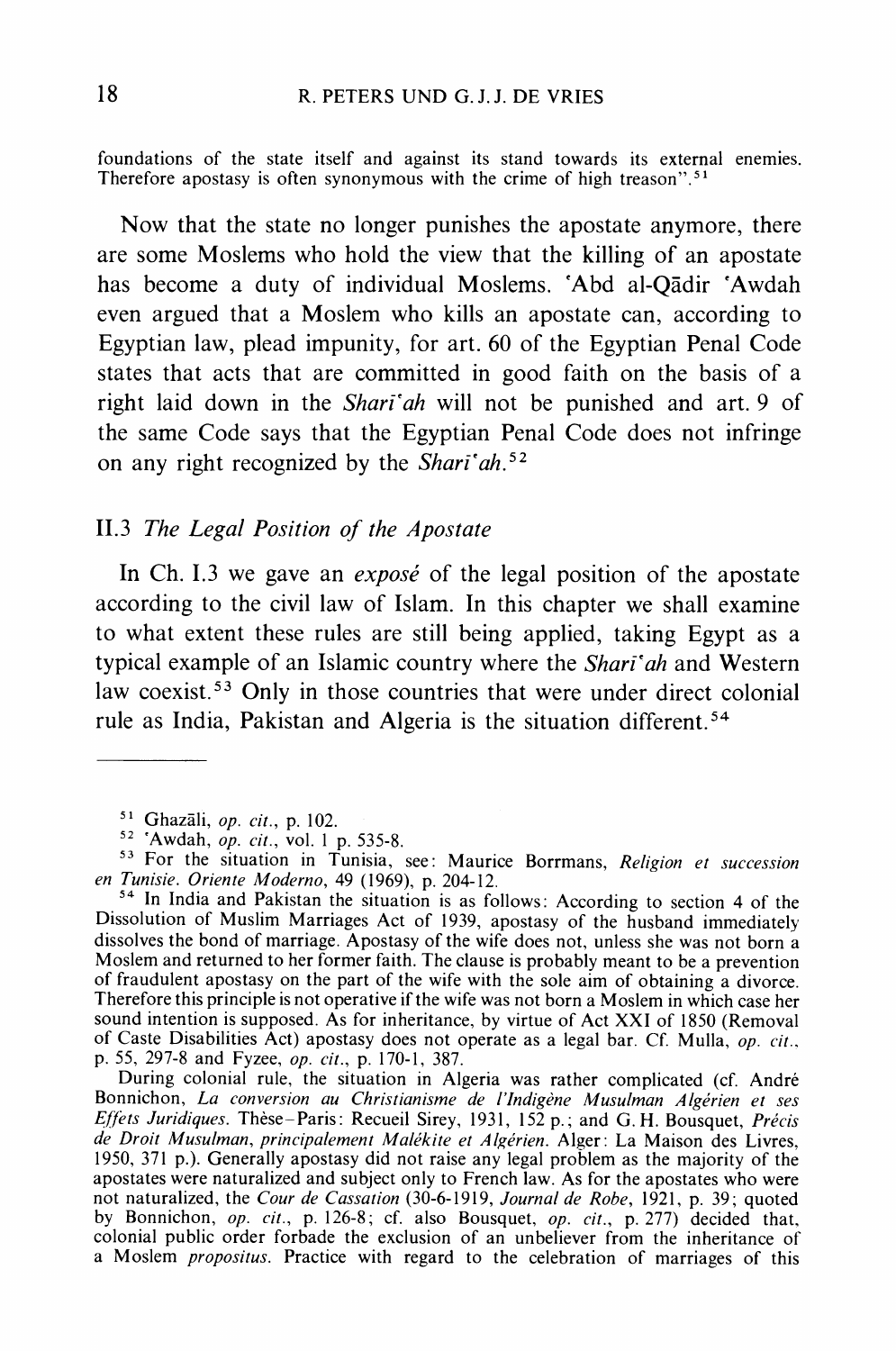**foundations of the state itself and against its stand towards its external enemies. Therefore apostasy is often synonymous with the crime of high treason".5** 

**Now that the state no longer punishes the apostate anymore, there are some Moslems who hold the view that the killing of an apostate has become a duty of individual Moslems. 'Abd al-Qadir 'Awdah even argued that a Moslem who kills an apostate can, according to Egyptian law, plead impunity, for art. 60 of the Egyptian Penal Code states that acts that are committed in good faith on the basis of a right laid down in the Shari'ah will not be punished and art. 9 of the same Code says that the Egyptian Penal Code does not infringe on any right recognized by the Shari'ah.52** 

## **11.3 The Legal Position of the Apostate**

In Ch. I.3 we gave an *exposé* of the legal position of the apostate **according to the civil law of Islam. In this chapter we shall examine to what extent these rules are still being applied, taking Egypt as a typical example of an Islamic country where the Shari'ah and Western law coexist.53 Only in those countries that were under direct colonial rule as India, Pakistan and Algeria is the situation different.54** 

**<sup>54</sup>In India and Pakistan the situation is as follows: According to section 4 of the Dissolution of Muslim Marriages Act of 1939, apostasy of the husband immediately dissolves the bond of marriage. Apostasy of the wife does not, unless she was not born a Moslem and returned to her former faith. The clause is probably meant to be a prevention of fraudulent apostasy on the part of the wife with the sole aim of obtaining a divorce. Therefore this principle is not operative if the wife was not born a Moslem in which case her sound intention is supposed. As for inheritance, by virtue of Act XXI of 1850 (Removal of Caste Disabilities Act) apostasy does not operate as a legal bar. Cf. Mulla, op. cit., p. 55, 297-8 and Fyzee, op. cit., p. 170-1, 387.** 

**During colonial rule, the situation in Algeria was rather complicated (cf. Andre Bonnichon, La conversion au Christianisme de l'Indigene Musulman Algerien et ses**  Effets Juridiques. These-Paris: Recueil Sirey, 1931, 152 p.; and G. H. Bousquet, Précis **de Droit Musulman, principalement Malekite et Algerien. Alger: La Maison des Livres, 1950, 371 p.). Generally apostasy did not raise any legal problem as the majority of the apostates were naturalized and subject only to French law. As for the apostates who were not naturalized, the Cour de Cassation (30-6-1919, Journal de Robe, 1921, p. 39; quoted by Bonnichon, op. cit., p. 126-8; cf. also Bousquet, op. cit., p. 277) decided that, colonial public order forbade the exclusion of an unbeliever from the inheritance of a Moslem propositus. Practice with regard to the celebration of marriages of this** 

**<sup>51</sup> Ghazali, op. cit., p. 102.** 

**<sup>52</sup>'Awdah, op. cit., vol. 1 p. 535-8.** 

**<sup>53</sup>For the situation in Tunisia, see: Maurice Borrmans, Religion et succession en Tunisie. Oriente Moderno, 49 (1969), p. 204-12.**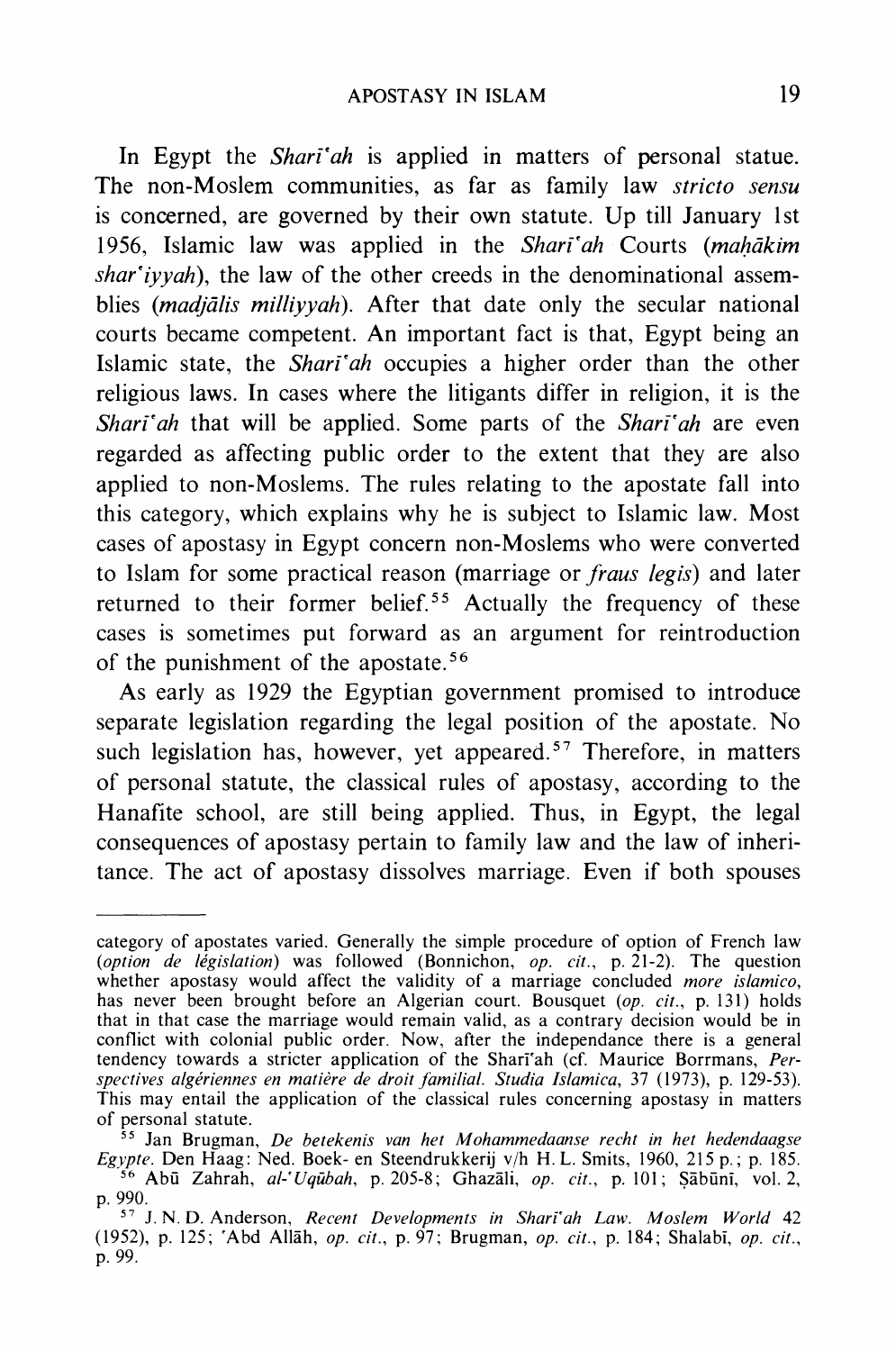**In Egypt the Shari'ah is applied in matters of personal statue. The non-Moslem communities, as far as family law stricto sensu is concerned, are governed by their own statute. Up till January 1st**  1956, Islamic law was applied in the Shari'ah Courts (mahākim **shar'iyyah), the law of the other creeds in the denominational assemblies (madjalis milliyyah). After that date only the secular national courts became competent. An important fact is that, Egypt being an Islamic state, the Shari'ah occupies a higher order than the other religious laws. In cases where the litigants differ in religion, it is the Shari'ah that will be applied. Some parts of the Shari'ah are even regarded as affecting public order to the extent that they are also applied to non-Moslems. The rules relating to the apostate fall into this category, which explains why he is subject to Islamic law. Most cases of apostasy in Egypt concern non-Moslems who were converted to Islam for some practical reason (marriage or fraus legis) and later returned to their former belief.55 Actually the frequency of these cases is sometimes put forward as an argument for reintroduction of the punishment of the apostate.56** 

**As early as 1929 the Egyptian government promised to introduce separate legislation regarding the legal position of the apostate. No such legislation has, however, yet appeared.57 Therefore, in matters of personal statute, the classical rules of apostasy, according to the Hanafite school, are still being applied. Thus, in Egypt, the legal consequences of apostasy pertain to family law and the law of inheritance. The act of apostasy dissolves marriage. Even if both spouses** 

**category of apostates varied. Generally the simple procedure of option of French law**  (option de législation) was followed (Bonnichon, op. cit., p. 21-2). The question **whether apostasy would affect the validity of a marriage concluded more islamico,**  has never been brought before an Algerian court. Bousquet (op. cit., p. 131) holds **that in that case the marriage would remain valid, as a contrary decision would be in conflict with colonial public order. Now, after the independance there is a general tendency towards a stricter application of the Shari'ah (cf. Maurice Borrmans, Per**spectives algériennes en matière de droit familial. Studia Islamica, 37 (1973), p. 129-53). **This may entail the application of the classical rules concerning apostasy in matters of personal statute.** 

**<sup>55</sup> Jan Brugman, De betekenis van het Mohammedaanse recht in het hedendaagse Egypte. Den Haag: Ned. Boek- en Steendrukkerij v/h H. L. Smits, 1960, 215 p.; p. 185.** 

**<sup>56</sup>Abu Zahrah, al-'Uqubah, p. 205-8; Ghazali, op. cit., p. 101; Sabuni, vol. 2, p. 990.** 

**<sup>57</sup>J. N. D. Anderson, Recent Developments in Shari'ah Law. Moslem World 42 (1952), p. 125; 'Abd Allah, op. cit., p. 97; Brugman, op. cit., p. 184; Shalabi, op. cit., p. 99.**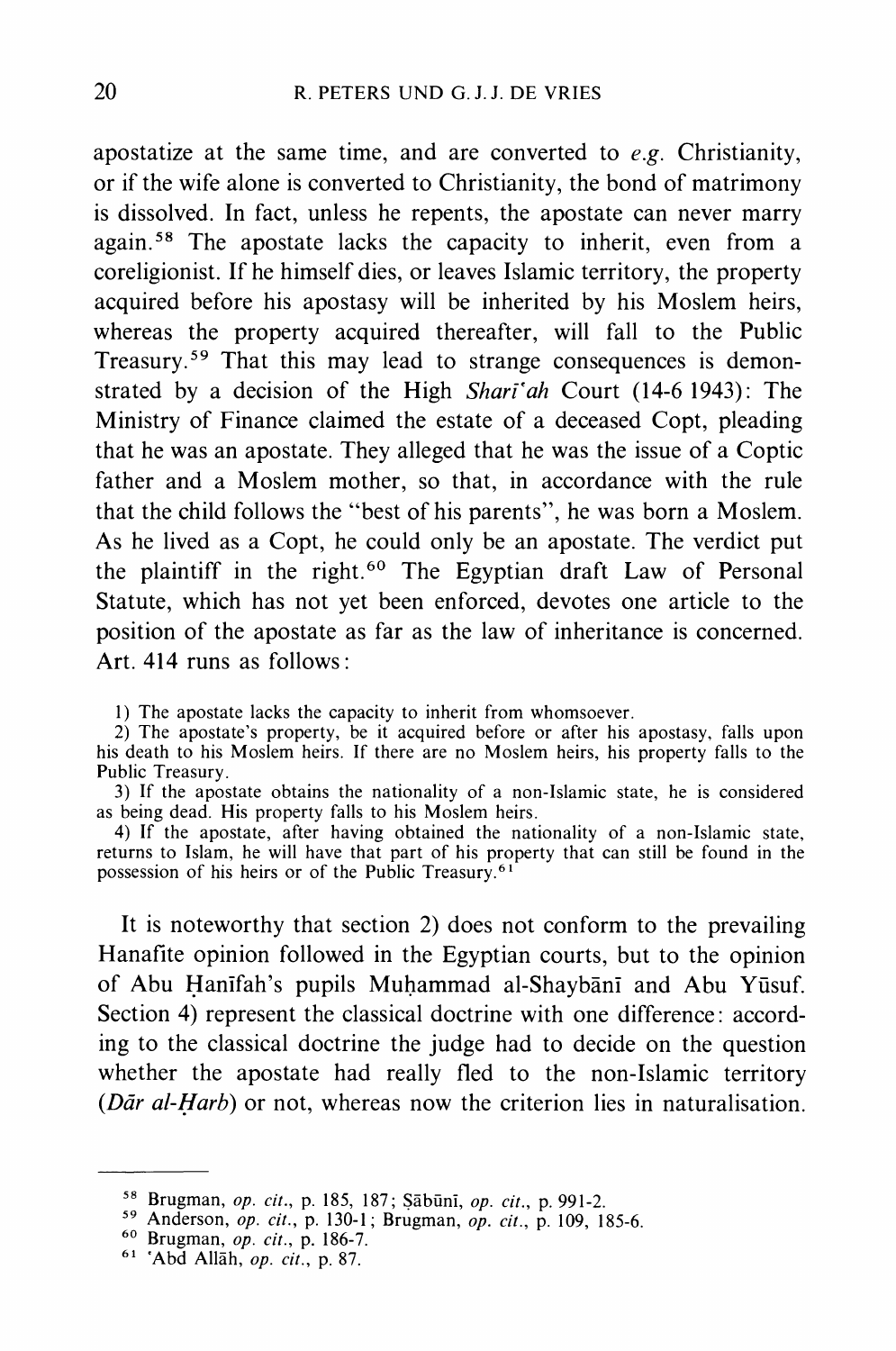**apostatize at the same time, and are converted to e.g. Christianity, or if the wife alone is converted to Christianity, the bond of matrimony is dissolved. In fact, unless he repents, the apostate can never marry again.58 The apostate lacks the capacity to inherit, even from a coreligionist. If he himself dies, or leaves Islamic territory, the property acquired before his apostasy will be inherited by his Moslem heirs, whereas the property acquired thereafter, will fall to the Public Treasury.59 That this may lead to strange consequences is demon**strated by a decision of the High Shari'ah Court (14-6 1943): The **Ministry of Finance claimed the estate of a deceased Copt, pleading that he was an apostate. They alleged that he was the issue of a Coptic father and a Moslem mother, so that, in accordance with the rule that the child follows the "best of his parents", he was born a Moslem. As he lived as a Copt, he could only be an apostate. The verdict put the plaintiff in the right.60 The Egyptian draft Law of Personal Statute, which has not yet been enforced, devotes one article to the position of the apostate as far as the law of inheritance is concerned. Art. 414 runs as follows:** 

**1) The apostate lacks the capacity to inherit from whomsoever.** 

**2) The apostate's property, be it acquired before or after his apostasy, falls upon his death to his Moslem heirs. If there are no Moslem heirs, his property falls to the Public Treasury.** 

**3) If the apostate obtains the nationality of a non-Islamic state, he is considered as being dead. His property falls to his Moslem heirs.** 

**4) If the apostate, after having obtained the nationality of a non-Islamic state, returns to Islam, he will have that part of his property that can still be found in the possession of his heirs or of the Public Treasury.61** 

**It is noteworthy that section 2) does not conform to the prevailing Hanafite opinion followed in the Egyptian courts, but to the opinion**  of Abu Hanifah's pupils Muhammad al-Shaybani and Abu Yūsuf. **Section 4) represent the classical doctrine with one difference: according to the classical doctrine the judge had to decide on the question whether the apostate had really fled to the non-Islamic territory**  (*Dar al-Harb*) or not, whereas now the criterion lies in naturalisation.

**<sup>58</sup>Brugman, op. cit., p. 185, 187; Sabuni, op. cit., p. 991-2.** 

**<sup>59</sup> Anderson, op. cit., p. 130-1; Brugman, op. cit., p. 109, 185-6.** 

**<sup>60</sup>Brugman, op. cit., p. 186-7.** 

**<sup>61</sup>'Abd Allah, op. cit., p. 87.**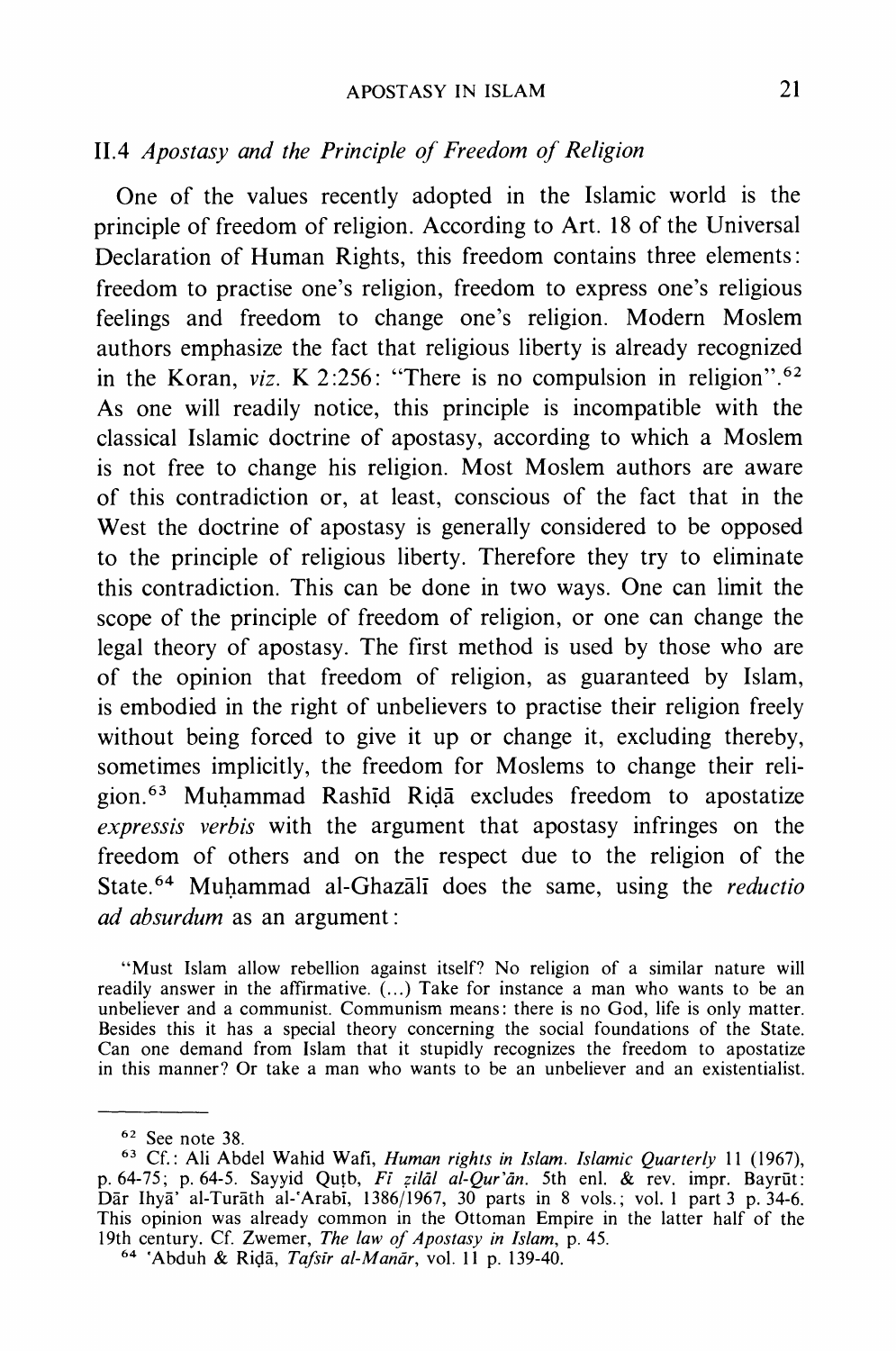#### **APOSTASY IN ISLAM**

## **11.4 Apostasy and the Principle of Freedom of Religion**

**One of the values recently adopted in the Islamic world is the principle of freedom of religion. According to Art. 18 of the Universal Declaration of Human Rights, this freedom contains three elements: freedom to practise one's religion, freedom to express one's religious feelings and freedom to change one's religion. Modern Moslem authors emphasize the fact that religious liberty is already recognized in the Koran, viz. K 2:256: "There is no compulsion in religion".62 As one will readily notice, this principle is incompatible with the classical Islamic doctrine of apostasy, according to which a Moslem is not free to change his religion. Most Moslem authors are aware of this contradiction or, at least, conscious of the fact that in the West the doctrine of apostasy is generally considered to be opposed to the principle of religious liberty. Therefore they try to eliminate this contradiction. This can be done in two ways. One can limit the scope of the principle of freedom of religion, or one can change the legal theory of apostasy. The first method is used by those who are of the opinion that freedom of religion, as guaranteed by Islam, is embodied in the right of unbelievers to practise their religion freely without being forced to give it up or change it, excluding thereby, sometimes implicitly, the freedom for Moslems to change their religion.63 Muhammad Rashid Rida excludes freedom to apostatize expressis verbis with the argument that apostasy infringes on the freedom of others and on the respect due to the religion of the State.64 Muhammad al-Ghazali does the same, using the reductio ad absurdum as an argument:** 

**"Must Islam allow rebellion against itself? No religion of a similar nature will readily answer in the affirmative. (...) Take for instance a man who wants to be an unbeliever and a communist. Communism means: there is no God, life is only matter. Besides this it has a special theory concerning the social foundations of the State. Can one demand from Islam that it stupidly recognizes the freedom to apostatize in this manner? Or take a man who wants to be an unbeliever and an existentialist.** 

**<sup>62</sup>See note 38.** 

**<sup>63</sup>Cf.: Ali Abdel Wahid Wafi, Human rights in Islam. Islamic Quarterly 11 (1967), p. 64-75; p. 64-5. Sayyid Qutb, Fi zilal al-Qur'dn. 5th enl. & rev. impr. Bayrut: Dar Ihya' al-Turath al-'Arabi, 1386/1967, 30 parts in 8 vols.; vol. 1 part 3 p. 34-6. This opinion was already common in the Ottoman Empire in the latter half of the 19th century. Cf. Zwemer, The law of Apostasy in Islam, p. 45.** 

**<sup>64</sup>'Abduh & Rida, Tafsir al-Mandr, vol. 11 p. 139-40.**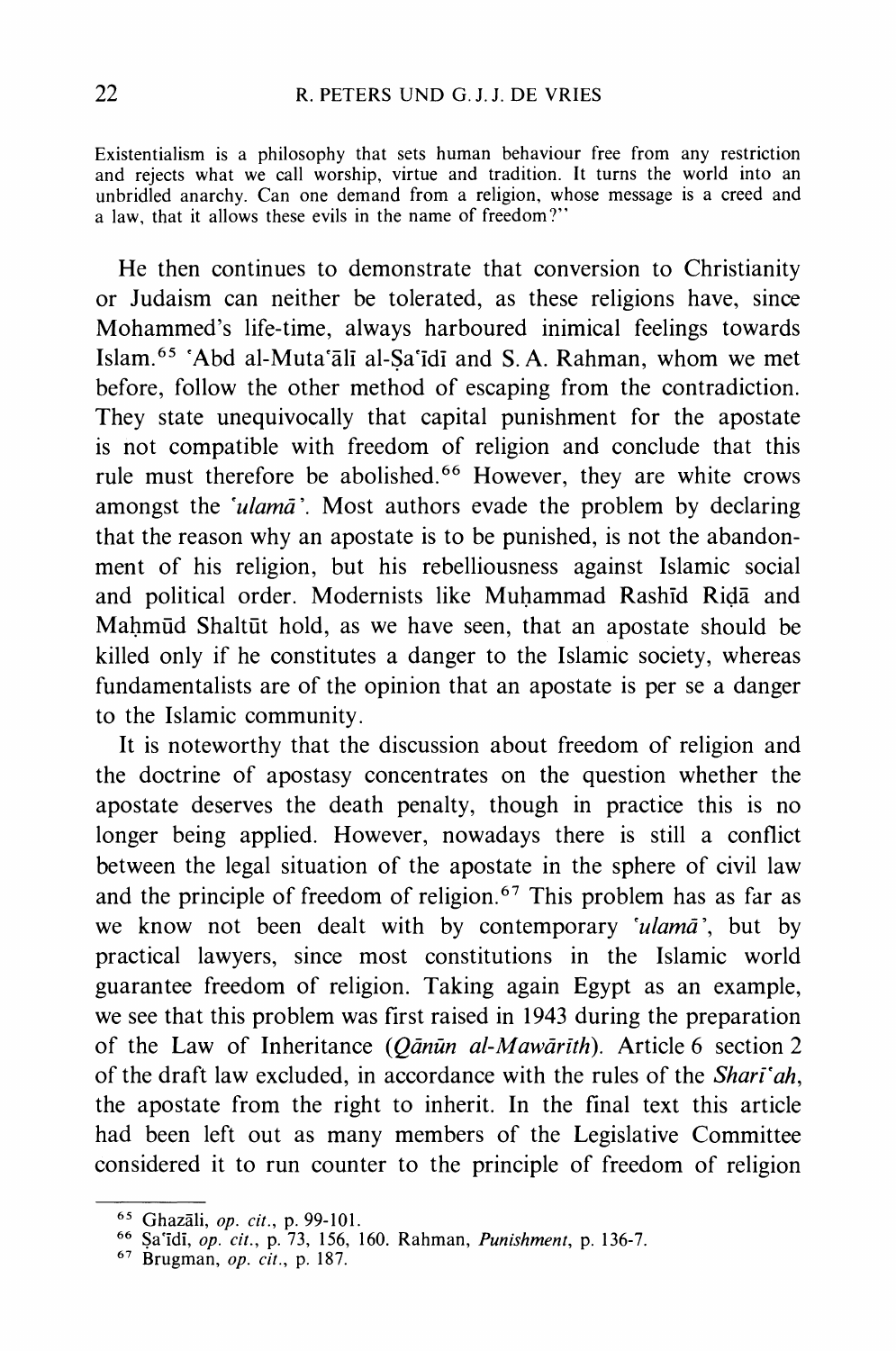**Existentialism is a philosophy that sets human behaviour free from any restriction and rejects what we call worship, virtue and tradition. It turns the world into an unbridled anarchy. Can one demand from a religion, whose message is a creed and a law, that it allows these evils in the name of freedom?"** 

**He then continues to demonstrate that conversion to Christianity or Judaism can neither be tolerated, as these religions have, since Mohammed's life-time, always harboured inimical feelings towards Islam.65 'Abd al-Muta'ali al-Sa'idi and S.A. Rahman, whom we met before, follow the other method of escaping from the contradiction. They state unequivocally that capital punishment for the apostate is not compatible with freedom of religion and conclude that this rule must therefore be abolished.66 However, they are white crows amongst the 'ulama'. Most authors evade the problem by declaring that the reason why an apostate is to be punished, is not the abandonment of his religion, but his rebelliousness against Islamic social and political order. Modernists like Muhammad Rashid Rida and Mahmud Shaltut hold, as we have seen, that an apostate should be killed only if he constitutes a danger to the Islamic society, whereas fundamentalists are of the opinion that an apostate is per se a danger to the Islamic community.** 

**It is noteworthy that the discussion about freedom of religion and the doctrine of apostasy concentrates on the question whether the apostate deserves the death penalty, though in practice this is no longer being applied. However, nowadays there is still a conflict between the legal situation of the apostate in the sphere of civil law and the principle of freedom of religion.67 This problem has as far as**  we know not been dealt with by contemporary 'ulama', but by **practical lawyers, since most constitutions in the Islamic world guarantee freedom of religion. Taking again Egypt as an example, we see that this problem was first raised in 1943 during the preparation**  of the Law of Inheritance (*Qānūn al-Mawārīth*). Article 6 section 2 **of the draft law excluded, in accordance with the rules of the Shari'ah, the apostate from the right to inherit. In the final text this article had been left out as many members of the Legislative Committee considered it to run counter to the principle of freedom of religion** 

**<sup>65</sup>Ghazali, op. cit., p. 99-101.** 

**<sup>66</sup>Sa'idi, op. cit., p. 73, 156, 160. Rahman, Punishment, p. 136-7.** 

**<sup>67</sup>Brugman, op. cit., p. 187.**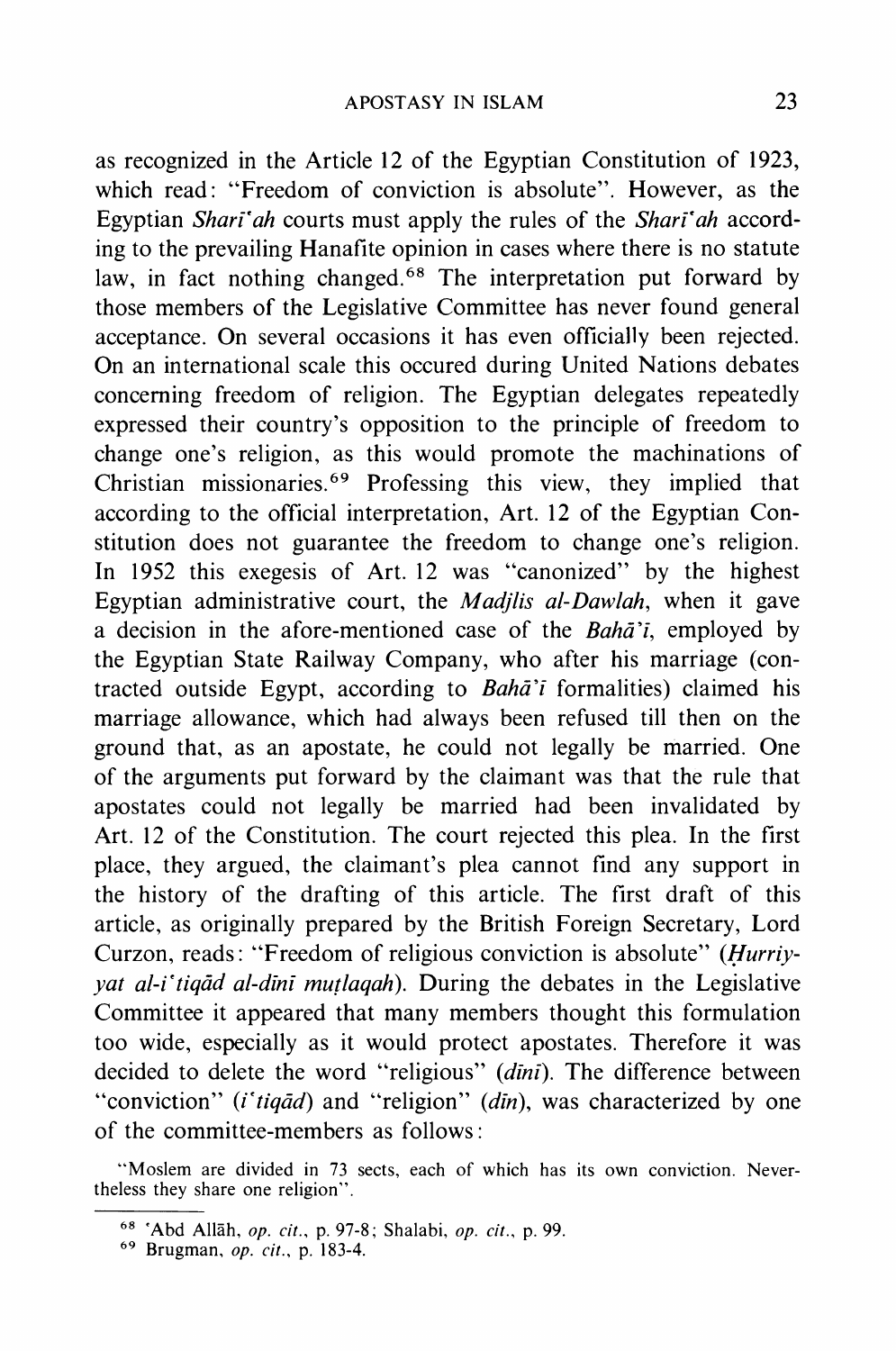**as recognized in the Article 12 of the Egyptian Constitution of 1923, which read: "Freedom of conviction is absolute". However, as the Egyptian Shari'ah courts must apply the rules of the Shari'ah according to the prevailing Hanafite opinion in cases where there is no statute law, in fact nothing changed.68 The interpretation put forward by those members of the Legislative Committee has never found general acceptance. On several occasions it has even officially been rejected. On an international scale this occured during United Nations debates concerning freedom of religion. The Egyptian delegates repeatedly expressed their country's opposition to the principle of freedom to change one's religion, as this would promote the machinations of Christian missionaries.69 Professing this view, they implied that according to the official interpretation, Art. 12 of the Egyptian Constitution does not guarantee the freedom to change one's religion. In 1952 this exegesis of Art. 12 was "canonized" by the highest Egyptian administrative court, the Madjlis al-Dawlah, when it gave a decision in the afore-mentioned case of the Bahd'i, employed by the Egyptian State Railway Company, who after his marriage (con**tracted outside Egypt, according to *Bahā'i* formalities) claimed his **marriage allowance, which had always been refused till then on the ground that, as an apostate, he could not legally be married. One of the arguments put forward by the claimant was that the rule that apostates could not legally be married had been invalidated by Art. 12 of the Constitution. The court rejected this plea. In the first place, they argued, the claimant's plea cannot find any support in the history of the drafting of this article. The first draft of this article, as originally prepared by the British Foreign Secretary, Lord Curzon, reads: "Freedom of religious conviction is absolute" (Hurriy**vat al-i<sup>t</sup>iquad al-dini mutlagah). During the debates in the Legislative **Committee it appeared that many members thought this formulation too wide, especially as it would protect apostates. Therefore it was decided to delete the word "religious" (dini). The difference between**  "conviction" (*i'tiqad*) and "religion" (*din*), was characterized by one **of the committee-members as follows:** 

**<sup>&</sup>quot;Moslem are divided in 73 sects, each of which has its own conviction. Nevertheless they share one religion".** 

**<sup>68</sup>'Abd Allah, op. cit., p. 97-8; Shalabi, op. cit., p. 99.** 

**<sup>69</sup>Brugman, op. cit., p. 183-4.**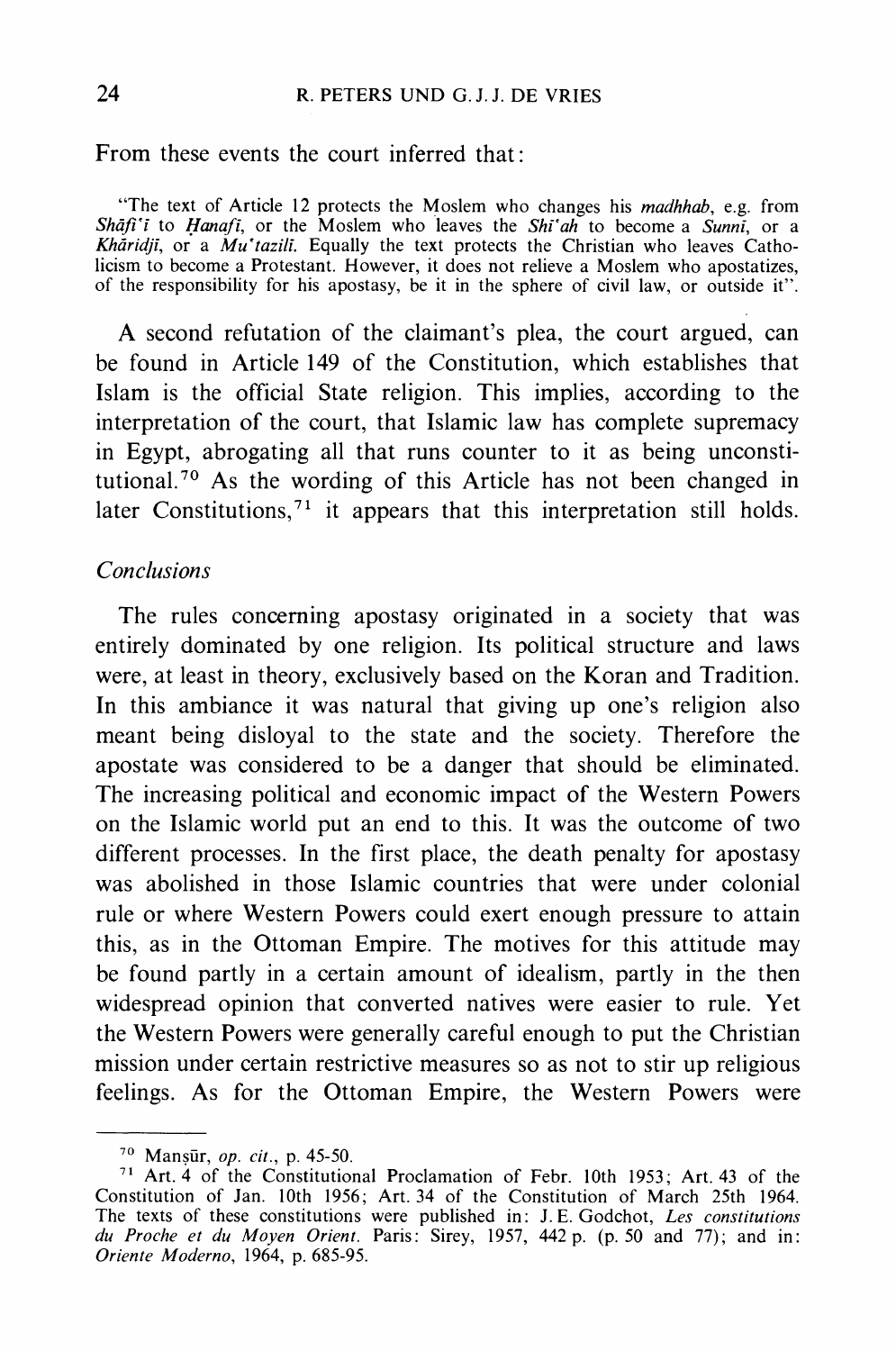## **From these events the court inferred that:**

**"The text of Article 12 protects the Moslem who changes his madhhab, e.g. from**  Shafi'i to Hanafi, or the Moslem who leaves the Shi'ah to become a Sunni, or a Kharidji, or a Mu<sup>t</sup>tazili. Equally the text protects the Christian who leaves Catho**licism to become a Protestant. However, it does not relieve a Moslem who apostatizes, of the responsibility for his apostasy, be it in the sphere of civil law, or outside it".** 

**A second refutation of the claimant's plea, the court argued, can be found in Article 149 of the Constitution, which establishes that Islam is the official State religion. This implies, according to the interpretation of the court, that Islamic law has complete supremacy in Egypt, abrogating all that runs counter to it as being unconstitutional.70 As the wording of this Article has not been changed in**  later Constitutions,<sup>71</sup> it appears that this interpretation still holds.

## **Conclusions**

**The rules concerning apostasy originated in a society that was entirely dominated by one religion. Its political structure and laws were, at least in theory, exclusively based on the Koran and Tradition. In this ambiance it was natural that giving up one's religion also meant being disloyal to the state and the society. Therefore the apostate was considered to be a danger that should be eliminated. The increasing political and economic impact of the Western Powers on the Islamic world put an end to this. It was the outcome of two different processes. In the first place, the death penalty for apostasy was abolished in those Islamic countries that were under colonial rule or where Western Powers could exert enough pressure to attain this, as in the Ottoman Empire. The motives for this attitude may be found partly in a certain amount of idealism, partly in the then widespread opinion that converted natives were easier to rule. Yet the Western Powers were generally careful enough to put the Christian mission under certain restrictive measures so as not to stir up religious feelings. As for the Ottoman Empire, the Western Powers were** 

**<sup>70</sup>Mansur, op. cit., p. 45-50.** 

**<sup>71</sup>Art. 4 of the Constitutional Proclamation of Febr. 10th 1953; Art. 43 of the Constitution of Jan. 10th 1956; Art. 34 of the Constitution of March 25th 1964. The texts of these constitutions were published in: J.E. Godchot, Les constitutions du Proche et du Moyen Orient. Paris: Sirey, 1957, 442 p. (p. 50 and 77); and in: Oriente Moderno, 1964, p. 685-95.**